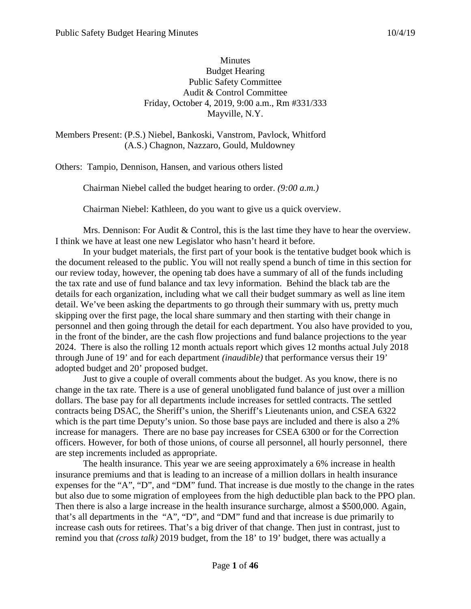### Minutes Budget Hearing Public Safety Committee Audit & Control Committee Friday, October 4, 2019, 9:00 a.m., Rm #331/333 Mayville, N.Y.

Members Present: (P.S.) Niebel, Bankoski, Vanstrom, Pavlock, Whitford (A.S.) Chagnon, Nazzaro, Gould, Muldowney

Others: Tampio, Dennison, Hansen, and various others listed

Chairman Niebel called the budget hearing to order. *(9:00 a.m.)*

Chairman Niebel: Kathleen, do you want to give us a quick overview.

Mrs. Dennison: For Audit  $&$  Control, this is the last time they have to hear the overview. I think we have at least one new Legislator who hasn't heard it before.

In your budget materials, the first part of your book is the tentative budget book which is the document released to the public. You will not really spend a bunch of time in this section for our review today, however, the opening tab does have a summary of all of the funds including the tax rate and use of fund balance and tax levy information. Behind the black tab are the details for each organization, including what we call their budget summary as well as line item detail. We've been asking the departments to go through their summary with us, pretty much skipping over the first page, the local share summary and then starting with their change in personnel and then going through the detail for each department. You also have provided to you, in the front of the binder, are the cash flow projections and fund balance projections to the year 2024. There is also the rolling 12 month actuals report which gives 12 months actual July 2018 through June of 19' and for each department *(inaudible)* that performance versus their 19' adopted budget and 20' proposed budget.

Just to give a couple of overall comments about the budget. As you know, there is no change in the tax rate. There is a use of general unobligated fund balance of just over a million dollars. The base pay for all departments include increases for settled contracts. The settled contracts being DSAC, the Sheriff's union, the Sheriff's Lieutenants union, and CSEA 6322 which is the part time Deputy's union. So those base pays are included and there is also a 2% increase for managers. There are no base pay increases for CSEA 6300 or for the Correction officers. However, for both of those unions, of course all personnel, all hourly personnel, there are step increments included as appropriate.

The health insurance. This year we are seeing approximately a 6% increase in health insurance premiums and that is leading to an increase of a million dollars in health insurance expenses for the "A", "D", and "DM" fund. That increase is due mostly to the change in the rates but also due to some migration of employees from the high deductible plan back to the PPO plan. Then there is also a large increase in the health insurance surcharge, almost a \$500,000. Again, that's all departments in the "A", "D", and "DM" fund and that increase is due primarily to increase cash outs for retirees. That's a big driver of that change. Then just in contrast, just to remind you that *(cross talk)* 2019 budget, from the 18' to 19' budget, there was actually a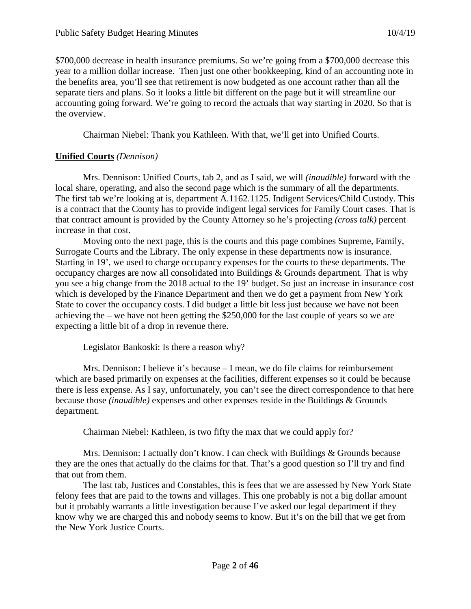\$700,000 decrease in health insurance premiums. So we're going from a \$700,000 decrease this year to a million dollar increase. Then just one other bookkeeping, kind of an accounting note in the benefits area, you'll see that retirement is now budgeted as one account rather than all the separate tiers and plans. So it looks a little bit different on the page but it will streamline our accounting going forward. We're going to record the actuals that way starting in 2020. So that is the overview.

Chairman Niebel: Thank you Kathleen. With that, we'll get into Unified Courts.

## **Unified Courts** *(Dennison)*

Mrs. Dennison: Unified Courts, tab 2, and as I said, we will *(inaudible)* forward with the local share, operating, and also the second page which is the summary of all the departments. The first tab we're looking at is, department A.1162.1125. Indigent Services/Child Custody. This is a contract that the County has to provide indigent legal services for Family Court cases. That is that contract amount is provided by the County Attorney so he's projecting *(cross talk)* percent increase in that cost.

Moving onto the next page, this is the courts and this page combines Supreme, Family, Surrogate Courts and the Library. The only expense in these departments now is insurance. Starting in 19', we used to charge occupancy expenses for the courts to these departments. The occupancy charges are now all consolidated into Buildings & Grounds department. That is why you see a big change from the 2018 actual to the 19' budget. So just an increase in insurance cost which is developed by the Finance Department and then we do get a payment from New York State to cover the occupancy costs. I did budget a little bit less just because we have not been achieving the – we have not been getting the \$250,000 for the last couple of years so we are expecting a little bit of a drop in revenue there.

Legislator Bankoski: Is there a reason why?

Mrs. Dennison: I believe it's because – I mean, we do file claims for reimbursement which are based primarily on expenses at the facilities, different expenses so it could be because there is less expense. As I say, unfortunately, you can't see the direct correspondence to that here because those *(inaudible)* expenses and other expenses reside in the Buildings & Grounds department.

Chairman Niebel: Kathleen, is two fifty the max that we could apply for?

Mrs. Dennison: I actually don't know. I can check with Buildings & Grounds because they are the ones that actually do the claims for that. That's a good question so I'll try and find that out from them.

The last tab, Justices and Constables, this is fees that we are assessed by New York State felony fees that are paid to the towns and villages. This one probably is not a big dollar amount but it probably warrants a little investigation because I've asked our legal department if they know why we are charged this and nobody seems to know. But it's on the bill that we get from the New York Justice Courts.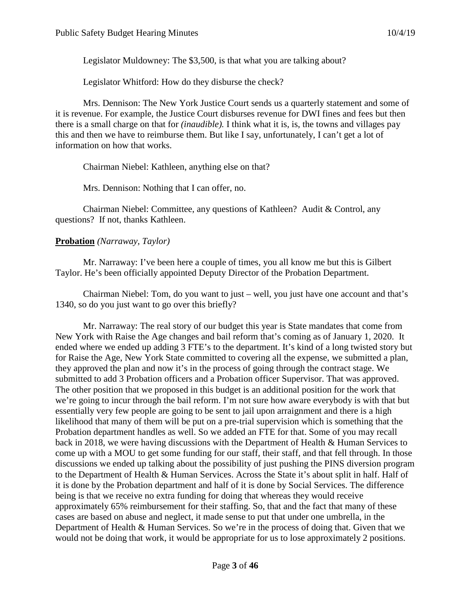Legislator Muldowney: The \$3,500, is that what you are talking about?

Legislator Whitford: How do they disburse the check?

Mrs. Dennison: The New York Justice Court sends us a quarterly statement and some of it is revenue. For example, the Justice Court disburses revenue for DWI fines and fees but then there is a small charge on that for *(inaudible).* I think what it is, is, the towns and villages pay this and then we have to reimburse them. But like I say, unfortunately, I can't get a lot of information on how that works.

Chairman Niebel: Kathleen, anything else on that?

Mrs. Dennison: Nothing that I can offer, no.

Chairman Niebel: Committee, any questions of Kathleen? Audit & Control, any questions? If not, thanks Kathleen.

## **Probation** *(Narraway, Taylor)*

Mr. Narraway: I've been here a couple of times, you all know me but this is Gilbert Taylor. He's been officially appointed Deputy Director of the Probation Department.

Chairman Niebel: Tom, do you want to just – well, you just have one account and that's 1340, so do you just want to go over this briefly?

Mr. Narraway: The real story of our budget this year is State mandates that come from New York with Raise the Age changes and bail reform that's coming as of January 1, 2020. It ended where we ended up adding 3 FTE's to the department. It's kind of a long twisted story but for Raise the Age, New York State committed to covering all the expense, we submitted a plan, they approved the plan and now it's in the process of going through the contract stage. We submitted to add 3 Probation officers and a Probation officer Supervisor. That was approved. The other position that we proposed in this budget is an additional position for the work that we're going to incur through the bail reform. I'm not sure how aware everybody is with that but essentially very few people are going to be sent to jail upon arraignment and there is a high likelihood that many of them will be put on a pre-trial supervision which is something that the Probation department handles as well. So we added an FTE for that. Some of you may recall back in 2018, we were having discussions with the Department of Health & Human Services to come up with a MOU to get some funding for our staff, their staff, and that fell through. In those discussions we ended up talking about the possibility of just pushing the PINS diversion program to the Department of Health & Human Services. Across the State it's about split in half. Half of it is done by the Probation department and half of it is done by Social Services. The difference being is that we receive no extra funding for doing that whereas they would receive approximately 65% reimbursement for their staffing. So, that and the fact that many of these cases are based on abuse and neglect, it made sense to put that under one umbrella, in the Department of Health & Human Services. So we're in the process of doing that. Given that we would not be doing that work, it would be appropriate for us to lose approximately 2 positions.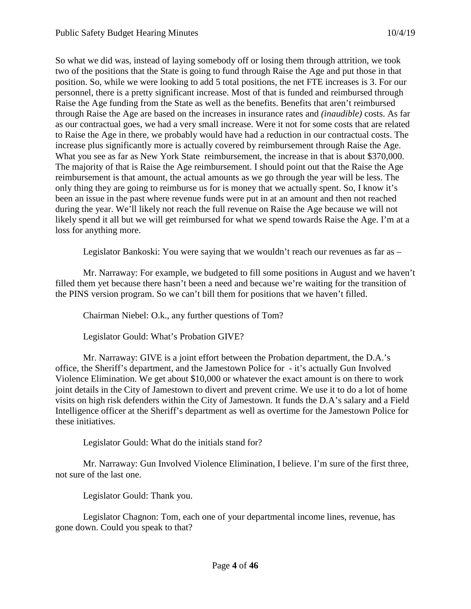So what we did was, instead of laying somebody off or losing them through attrition, we took two of the positions that the State is going to fund through Raise the Age and put those in that position. So, while we were looking to add 5 total positions, the net FTE increases is 3. For our personnel, there is a pretty significant increase. Most of that is funded and reimbursed through Raise the Age funding from the State as well as the benefits. Benefits that aren't reimbursed through Raise the Age are based on the increases in insurance rates and *(inaudible)* costs. As far as our contractual goes, we had a very small increase. Were it not for some costs that are related to Raise the Age in there, we probably would have had a reduction in our contractual costs. The increase plus significantly more is actually covered by reimbursement through Raise the Age. What you see as far as New York State reimbursement, the increase in that is about \$370,000. The majority of that is Raise the Age reimbursement. I should point out that the Raise the Age reimbursement is that amount, the actual amounts as we go through the year will be less. The only thing they are going to reimburse us for is money that we actually spent. So, I know it's been an issue in the past where revenue funds were put in at an amount and then not reached during the year. We'll likely not reach the full revenue on Raise the Age because we will not likely spend it all but we will get reimbursed for what we spend towards Raise the Age. I'm at a loss for anything more.

Legislator Bankoski: You were saying that we wouldn't reach our revenues as far as –

Mr. Narraway: For example, we budgeted to fill some positions in August and we haven't filled them yet because there hasn't been a need and because we're waiting for the transition of the PINS version program. So we can't bill them for positions that we haven't filled.

Chairman Niebel: O.k., any further questions of Tom?

Legislator Gould: What's Probation GIVE?

Mr. Narraway: GIVE is a joint effort between the Probation department, the D.A.'s office, the Sheriff's department, and the Jamestown Police for - it's actually Gun Involved Violence Elimination. We get about \$10,000 or whatever the exact amount is on there to work joint details in the City of Jamestown to divert and prevent crime. We use it to do a lot of home visits on high risk defenders within the City of Jamestown. It funds the D.A's salary and a Field Intelligence officer at the Sheriff's department as well as overtime for the Jamestown Police for these initiatives.

Legislator Gould: What do the initials stand for?

Mr. Narraway: Gun Involved Violence Elimination, I believe. I'm sure of the first three, not sure of the last one.

Legislator Gould: Thank you.

Legislator Chagnon: Tom, each one of your departmental income lines, revenue, has gone down. Could you speak to that?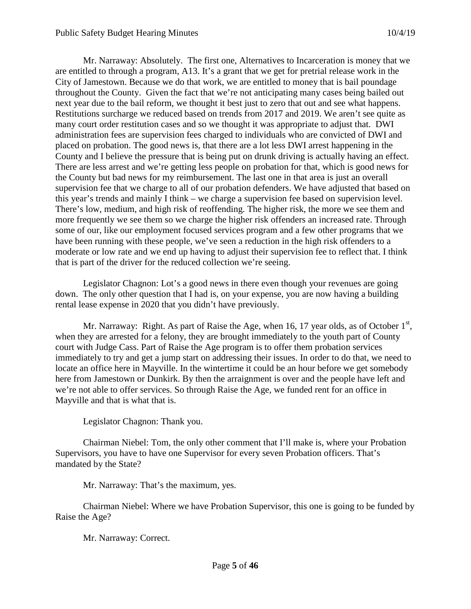Mr. Narraway: Absolutely. The first one, Alternatives to Incarceration is money that we are entitled to through a program, A13. It's a grant that we get for pretrial release work in the City of Jamestown. Because we do that work, we are entitled to money that is bail poundage throughout the County. Given the fact that we're not anticipating many cases being bailed out next year due to the bail reform, we thought it best just to zero that out and see what happens. Restitutions surcharge we reduced based on trends from 2017 and 2019. We aren't see quite as many court order restitution cases and so we thought it was appropriate to adjust that. DWI administration fees are supervision fees charged to individuals who are convicted of DWI and placed on probation. The good news is, that there are a lot less DWI arrest happening in the County and I believe the pressure that is being put on drunk driving is actually having an effect. There are less arrest and we're getting less people on probation for that, which is good news for the County but bad news for my reimbursement. The last one in that area is just an overall supervision fee that we charge to all of our probation defenders. We have adjusted that based on this year's trends and mainly I think – we charge a supervision fee based on supervision level. There's low, medium, and high risk of reoffending. The higher risk, the more we see them and more frequently we see them so we charge the higher risk offenders an increased rate. Through some of our, like our employment focused services program and a few other programs that we have been running with these people, we've seen a reduction in the high risk offenders to a moderate or low rate and we end up having to adjust their supervision fee to reflect that. I think that is part of the driver for the reduced collection we're seeing.

Legislator Chagnon: Lot's a good news in there even though your revenues are going down. The only other question that I had is, on your expense, you are now having a building rental lease expense in 2020 that you didn't have previously.

Mr. Narraway: Right. As part of Raise the Age, when 16, 17 year olds, as of October  $1<sup>st</sup>$ , when they are arrested for a felony, they are brought immediately to the youth part of County court with Judge Cass. Part of Raise the Age program is to offer them probation services immediately to try and get a jump start on addressing their issues. In order to do that, we need to locate an office here in Mayville. In the wintertime it could be an hour before we get somebody here from Jamestown or Dunkirk. By then the arraignment is over and the people have left and we're not able to offer services. So through Raise the Age, we funded rent for an office in Mayville and that is what that is.

Legislator Chagnon: Thank you.

Chairman Niebel: Tom, the only other comment that I'll make is, where your Probation Supervisors, you have to have one Supervisor for every seven Probation officers. That's mandated by the State?

Mr. Narraway: That's the maximum, yes.

Chairman Niebel: Where we have Probation Supervisor, this one is going to be funded by Raise the Age?

Mr. Narraway: Correct.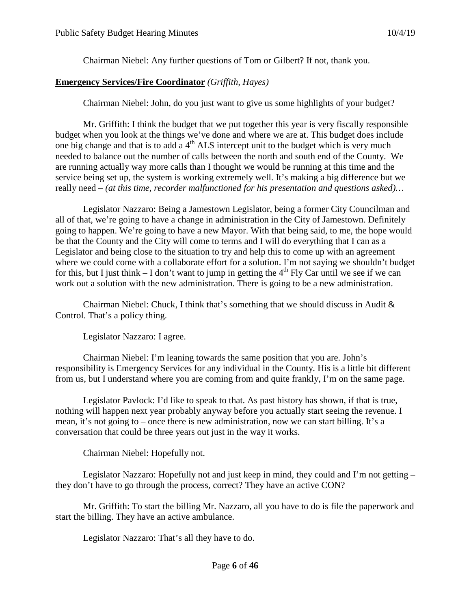Chairman Niebel: Any further questions of Tom or Gilbert? If not, thank you.

## **Emergency Services/Fire Coordinator** *(Griffith, Hayes)*

Chairman Niebel: John, do you just want to give us some highlights of your budget?

Mr. Griffith: I think the budget that we put together this year is very fiscally responsible budget when you look at the things we've done and where we are at. This budget does include one big change and that is to add  $a 4<sup>th</sup>$  ALS intercept unit to the budget which is very much needed to balance out the number of calls between the north and south end of the County. We are running actually way more calls than I thought we would be running at this time and the service being set up, the system is working extremely well. It's making a big difference but we really need – *(at this time, recorder malfunctioned for his presentation and questions asked)…*

Legislator Nazzaro: Being a Jamestown Legislator, being a former City Councilman and all of that, we're going to have a change in administration in the City of Jamestown. Definitely going to happen. We're going to have a new Mayor. With that being said, to me, the hope would be that the County and the City will come to terms and I will do everything that I can as a Legislator and being close to the situation to try and help this to come up with an agreement where we could come with a collaborate effort for a solution. I'm not saying we shouldn't budget for this, but I just think  $-$  I don't want to jump in getting the  $4<sup>th</sup>$  Fly Car until we see if we can work out a solution with the new administration. There is going to be a new administration.

Chairman Niebel: Chuck, I think that's something that we should discuss in Audit  $\&$ Control. That's a policy thing.

Legislator Nazzaro: I agree.

Chairman Niebel: I'm leaning towards the same position that you are. John's responsibility is Emergency Services for any individual in the County. His is a little bit different from us, but I understand where you are coming from and quite frankly, I'm on the same page.

Legislator Pavlock: I'd like to speak to that. As past history has shown, if that is true, nothing will happen next year probably anyway before you actually start seeing the revenue. I mean, it's not going to – once there is new administration, now we can start billing. It's a conversation that could be three years out just in the way it works.

Chairman Niebel: Hopefully not.

Legislator Nazzaro: Hopefully not and just keep in mind, they could and I'm not getting – they don't have to go through the process, correct? They have an active CON?

Mr. Griffith: To start the billing Mr. Nazzaro, all you have to do is file the paperwork and start the billing. They have an active ambulance.

Legislator Nazzaro: That's all they have to do.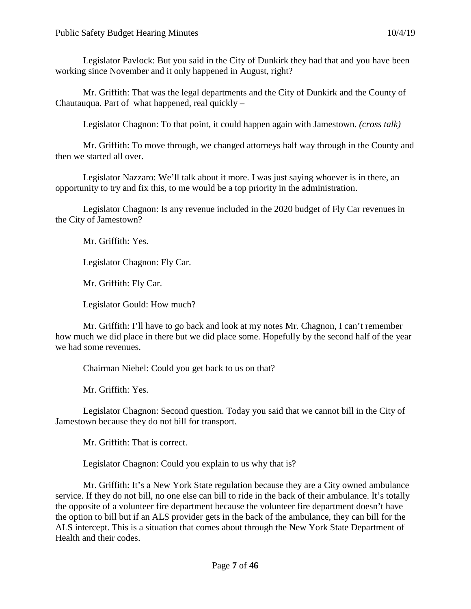Mr. Griffith: That was the legal departments and the City of Dunkirk and the County of Chautauqua. Part of what happened, real quickly –

Legislator Chagnon: To that point, it could happen again with Jamestown. *(cross talk)*

Mr. Griffith: To move through, we changed attorneys half way through in the County and then we started all over.

Legislator Nazzaro: We'll talk about it more. I was just saying whoever is in there, an opportunity to try and fix this, to me would be a top priority in the administration.

Legislator Chagnon: Is any revenue included in the 2020 budget of Fly Car revenues in the City of Jamestown?

Mr. Griffith: Yes.

Legislator Chagnon: Fly Car.

Mr. Griffith: Fly Car.

Legislator Gould: How much?

Mr. Griffith: I'll have to go back and look at my notes Mr. Chagnon, I can't remember how much we did place in there but we did place some. Hopefully by the second half of the year we had some revenues.

Chairman Niebel: Could you get back to us on that?

Mr. Griffith: Yes.

Legislator Chagnon: Second question. Today you said that we cannot bill in the City of Jamestown because they do not bill for transport.

Mr. Griffith: That is correct.

Legislator Chagnon: Could you explain to us why that is?

Mr. Griffith: It's a New York State regulation because they are a City owned ambulance service. If they do not bill, no one else can bill to ride in the back of their ambulance. It's totally the opposite of a volunteer fire department because the volunteer fire department doesn't have the option to bill but if an ALS provider gets in the back of the ambulance, they can bill for the ALS intercept. This is a situation that comes about through the New York State Department of Health and their codes.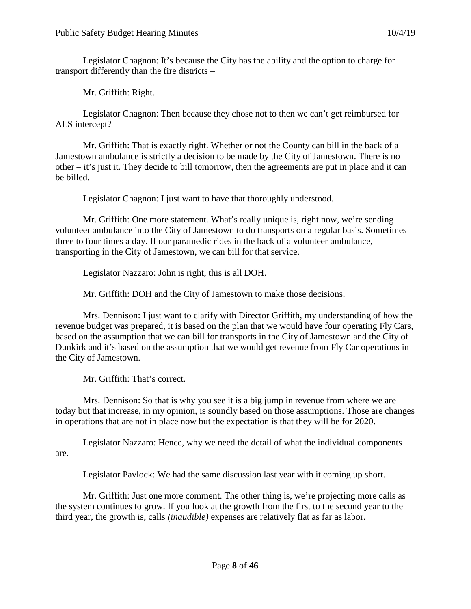Legislator Chagnon: It's because the City has the ability and the option to charge for transport differently than the fire districts –

Mr. Griffith: Right.

Legislator Chagnon: Then because they chose not to then we can't get reimbursed for ALS intercept?

Mr. Griffith: That is exactly right. Whether or not the County can bill in the back of a Jamestown ambulance is strictly a decision to be made by the City of Jamestown. There is no other  $-i$  t's just it. They decide to bill tomorrow, then the agreements are put in place and it can be billed.

Legislator Chagnon: I just want to have that thoroughly understood.

Mr. Griffith: One more statement. What's really unique is, right now, we're sending volunteer ambulance into the City of Jamestown to do transports on a regular basis. Sometimes three to four times a day. If our paramedic rides in the back of a volunteer ambulance, transporting in the City of Jamestown, we can bill for that service.

Legislator Nazzaro: John is right, this is all DOH.

Mr. Griffith: DOH and the City of Jamestown to make those decisions.

Mrs. Dennison: I just want to clarify with Director Griffith, my understanding of how the revenue budget was prepared, it is based on the plan that we would have four operating Fly Cars, based on the assumption that we can bill for transports in the City of Jamestown and the City of Dunkirk and it's based on the assumption that we would get revenue from Fly Car operations in the City of Jamestown.

Mr. Griffith: That's correct.

Mrs. Dennison: So that is why you see it is a big jump in revenue from where we are today but that increase, in my opinion, is soundly based on those assumptions. Those are changes in operations that are not in place now but the expectation is that they will be for 2020.

Legislator Nazzaro: Hence, why we need the detail of what the individual components are.

Legislator Pavlock: We had the same discussion last year with it coming up short.

Mr. Griffith: Just one more comment. The other thing is, we're projecting more calls as the system continues to grow. If you look at the growth from the first to the second year to the third year, the growth is, calls *(inaudible)* expenses are relatively flat as far as labor.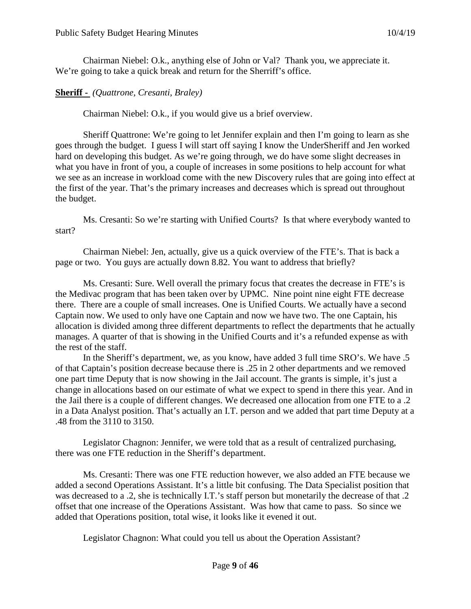Chairman Niebel: O.k., anything else of John or Val? Thank you, we appreciate it. We're going to take a quick break and return for the Sherriff's office.

## **Sheriff -** *(Quattrone, Cresanti, Braley)*

Chairman Niebel: O.k., if you would give us a brief overview.

Sheriff Quattrone: We're going to let Jennifer explain and then I'm going to learn as she goes through the budget. I guess I will start off saying I know the UnderSheriff and Jen worked hard on developing this budget. As we're going through, we do have some slight decreases in what you have in front of you, a couple of increases in some positions to help account for what we see as an increase in workload come with the new Discovery rules that are going into effect at the first of the year. That's the primary increases and decreases which is spread out throughout the budget.

Ms. Cresanti: So we're starting with Unified Courts? Is that where everybody wanted to start?

Chairman Niebel: Jen, actually, give us a quick overview of the FTE's. That is back a page or two. You guys are actually down 8.82. You want to address that briefly?

Ms. Cresanti: Sure. Well overall the primary focus that creates the decrease in FTE's is the Medivac program that has been taken over by UPMC. Nine point nine eight FTE decrease there. There are a couple of small increases. One is Unified Courts. We actually have a second Captain now. We used to only have one Captain and now we have two. The one Captain, his allocation is divided among three different departments to reflect the departments that he actually manages. A quarter of that is showing in the Unified Courts and it's a refunded expense as with the rest of the staff.

In the Sheriff's department, we, as you know, have added 3 full time SRO's. We have .5 of that Captain's position decrease because there is .25 in 2 other departments and we removed one part time Deputy that is now showing in the Jail account. The grants is simple, it's just a change in allocations based on our estimate of what we expect to spend in there this year. And in the Jail there is a couple of different changes. We decreased one allocation from one FTE to a .2 in a Data Analyst position. That's actually an I.T. person and we added that part time Deputy at a .48 from the 3110 to 3150.

Legislator Chagnon: Jennifer, we were told that as a result of centralized purchasing, there was one FTE reduction in the Sheriff's department.

Ms. Cresanti: There was one FTE reduction however, we also added an FTE because we added a second Operations Assistant. It's a little bit confusing. The Data Specialist position that was decreased to a .2, she is technically I.T.'s staff person but monetarily the decrease of that .2 offset that one increase of the Operations Assistant. Was how that came to pass. So since we added that Operations position, total wise, it looks like it evened it out.

Legislator Chagnon: What could you tell us about the Operation Assistant?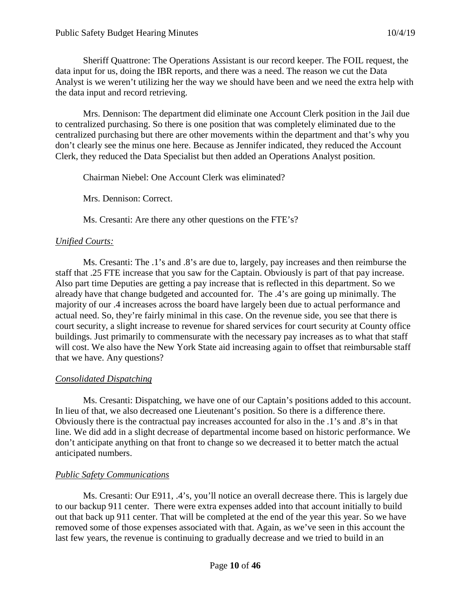Sheriff Quattrone: The Operations Assistant is our record keeper. The FOIL request, the data input for us, doing the IBR reports, and there was a need. The reason we cut the Data Analyst is we weren't utilizing her the way we should have been and we need the extra help with the data input and record retrieving.

Mrs. Dennison: The department did eliminate one Account Clerk position in the Jail due to centralized purchasing. So there is one position that was completely eliminated due to the centralized purchasing but there are other movements within the department and that's why you don't clearly see the minus one here. Because as Jennifer indicated, they reduced the Account Clerk, they reduced the Data Specialist but then added an Operations Analyst position.

Chairman Niebel: One Account Clerk was eliminated?

Mrs. Dennison: Correct.

Ms. Cresanti: Are there any other questions on the FTE's?

## *Unified Courts:*

Ms. Cresanti: The .1's and .8's are due to, largely, pay increases and then reimburse the staff that .25 FTE increase that you saw for the Captain. Obviously is part of that pay increase. Also part time Deputies are getting a pay increase that is reflected in this department. So we already have that change budgeted and accounted for. The .4's are going up minimally. The majority of our .4 increases across the board have largely been due to actual performance and actual need. So, they're fairly minimal in this case. On the revenue side, you see that there is court security, a slight increase to revenue for shared services for court security at County office buildings. Just primarily to commensurate with the necessary pay increases as to what that staff will cost. We also have the New York State aid increasing again to offset that reimbursable staff that we have. Any questions?

## *Consolidated Dispatching*

Ms. Cresanti: Dispatching, we have one of our Captain's positions added to this account. In lieu of that, we also decreased one Lieutenant's position. So there is a difference there. Obviously there is the contractual pay increases accounted for also in the .1's and .8's in that line. We did add in a slight decrease of departmental income based on historic performance. We don't anticipate anything on that front to change so we decreased it to better match the actual anticipated numbers.

## *Public Safety Communications*

Ms. Cresanti: Our E911, .4's, you'll notice an overall decrease there. This is largely due to our backup 911 center. There were extra expenses added into that account initially to build out that back up 911 center. That will be completed at the end of the year this year. So we have removed some of those expenses associated with that. Again, as we've seen in this account the last few years, the revenue is continuing to gradually decrease and we tried to build in an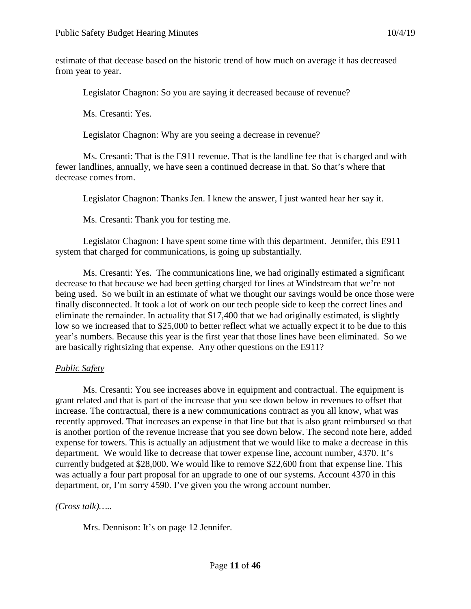estimate of that decease based on the historic trend of how much on average it has decreased from year to year.

Legislator Chagnon: So you are saying it decreased because of revenue?

Ms. Cresanti: Yes.

Legislator Chagnon: Why are you seeing a decrease in revenue?

Ms. Cresanti: That is the E911 revenue. That is the landline fee that is charged and with fewer landlines, annually, we have seen a continued decrease in that. So that's where that decrease comes from.

Legislator Chagnon: Thanks Jen. I knew the answer, I just wanted hear her say it.

Ms. Cresanti: Thank you for testing me.

Legislator Chagnon: I have spent some time with this department. Jennifer, this E911 system that charged for communications, is going up substantially.

Ms. Cresanti: Yes. The communications line, we had originally estimated a significant decrease to that because we had been getting charged for lines at Windstream that we're not being used. So we built in an estimate of what we thought our savings would be once those were finally disconnected. It took a lot of work on our tech people side to keep the correct lines and eliminate the remainder. In actuality that \$17,400 that we had originally estimated, is slightly low so we increased that to \$25,000 to better reflect what we actually expect it to be due to this year's numbers. Because this year is the first year that those lines have been eliminated. So we are basically rightsizing that expense. Any other questions on the E911?

# *Public Safety*

Ms. Cresanti: You see increases above in equipment and contractual. The equipment is grant related and that is part of the increase that you see down below in revenues to offset that increase. The contractual, there is a new communications contract as you all know, what was recently approved. That increases an expense in that line but that is also grant reimbursed so that is another portion of the revenue increase that you see down below. The second note here, added expense for towers. This is actually an adjustment that we would like to make a decrease in this department. We would like to decrease that tower expense line, account number, 4370. It's currently budgeted at \$28,000. We would like to remove \$22,600 from that expense line. This was actually a four part proposal for an upgrade to one of our systems. Account 4370 in this department, or, I'm sorry 4590. I've given you the wrong account number.

# *(Cross talk)…..*

Mrs. Dennison: It's on page 12 Jennifer.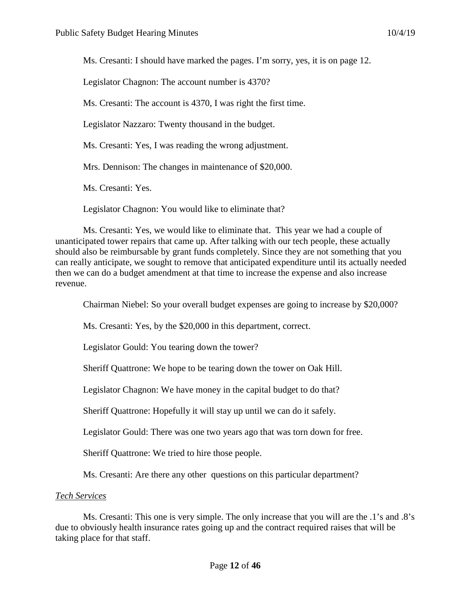Ms. Cresanti: I should have marked the pages. I'm sorry, yes, it is on page 12.

Legislator Chagnon: The account number is 4370?

Ms. Cresanti: The account is 4370, I was right the first time.

Legislator Nazzaro: Twenty thousand in the budget.

Ms. Cresanti: Yes, I was reading the wrong adjustment.

Mrs. Dennison: The changes in maintenance of \$20,000.

Ms. Cresanti: Yes.

Legislator Chagnon: You would like to eliminate that?

Ms. Cresanti: Yes, we would like to eliminate that. This year we had a couple of unanticipated tower repairs that came up. After talking with our tech people, these actually should also be reimbursable by grant funds completely. Since they are not something that you can really anticipate, we sought to remove that anticipated expenditure until its actually needed then we can do a budget amendment at that time to increase the expense and also increase revenue.

Chairman Niebel: So your overall budget expenses are going to increase by \$20,000?

Ms. Cresanti: Yes, by the \$20,000 in this department, correct.

Legislator Gould: You tearing down the tower?

Sheriff Quattrone: We hope to be tearing down the tower on Oak Hill.

Legislator Chagnon: We have money in the capital budget to do that?

Sheriff Quattrone: Hopefully it will stay up until we can do it safely.

Legislator Gould: There was one two years ago that was torn down for free.

Sheriff Quattrone: We tried to hire those people.

Ms. Cresanti: Are there any other questions on this particular department?

#### *Tech Services*

Ms. Cresanti: This one is very simple. The only increase that you will are the .1's and .8's due to obviously health insurance rates going up and the contract required raises that will be taking place for that staff.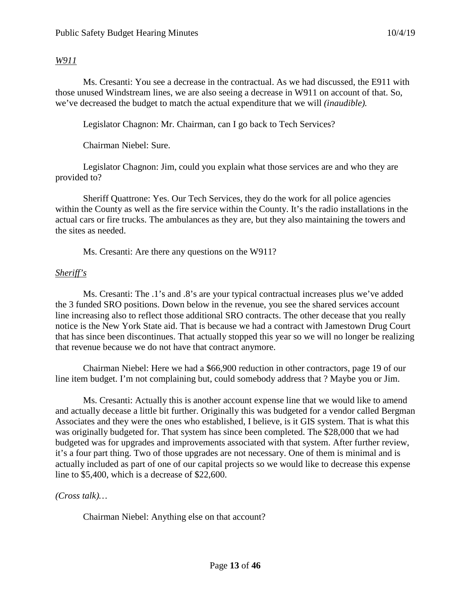### *W911*

Ms. Cresanti: You see a decrease in the contractual. As we had discussed, the E911 with those unused Windstream lines, we are also seeing a decrease in W911 on account of that. So, we've decreased the budget to match the actual expenditure that we will *(inaudible).*

Legislator Chagnon: Mr. Chairman, can I go back to Tech Services?

Chairman Niebel: Sure.

Legislator Chagnon: Jim, could you explain what those services are and who they are provided to?

Sheriff Quattrone: Yes. Our Tech Services, they do the work for all police agencies within the County as well as the fire service within the County. It's the radio installations in the actual cars or fire trucks. The ambulances as they are, but they also maintaining the towers and the sites as needed.

Ms. Cresanti: Are there any questions on the W911?

### *Sheriff's*

Ms. Cresanti: The .1's and .8's are your typical contractual increases plus we've added the 3 funded SRO positions. Down below in the revenue, you see the shared services account line increasing also to reflect those additional SRO contracts. The other decease that you really notice is the New York State aid. That is because we had a contract with Jamestown Drug Court that has since been discontinues. That actually stopped this year so we will no longer be realizing that revenue because we do not have that contract anymore.

Chairman Niebel: Here we had a \$66,900 reduction in other contractors, page 19 of our line item budget. I'm not complaining but, could somebody address that ? Maybe you or Jim.

Ms. Cresanti: Actually this is another account expense line that we would like to amend and actually decease a little bit further. Originally this was budgeted for a vendor called Bergman Associates and they were the ones who established, I believe, is it GIS system. That is what this was originally budgeted for. That system has since been completed. The \$28,000 that we had budgeted was for upgrades and improvements associated with that system. After further review, it's a four part thing. Two of those upgrades are not necessary. One of them is minimal and is actually included as part of one of our capital projects so we would like to decrease this expense line to \$5,400, which is a decrease of \$22,600.

*(Cross talk)…*

Chairman Niebel: Anything else on that account?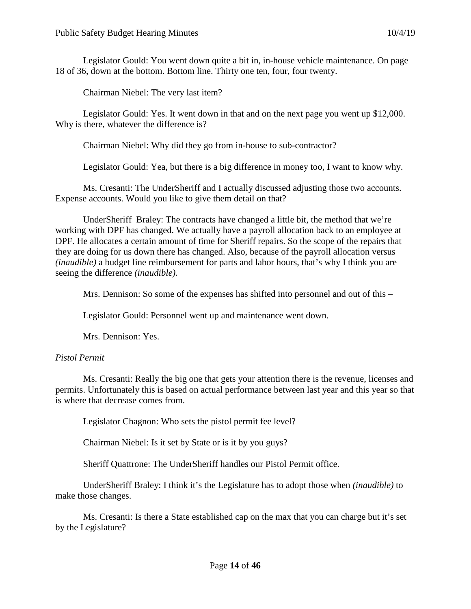Legislator Gould: You went down quite a bit in, in-house vehicle maintenance. On page 18 of 36, down at the bottom. Bottom line. Thirty one ten, four, four twenty.

Chairman Niebel: The very last item?

Legislator Gould: Yes. It went down in that and on the next page you went up \$12,000. Why is there, whatever the difference is?

Chairman Niebel: Why did they go from in-house to sub-contractor?

Legislator Gould: Yea, but there is a big difference in money too, I want to know why.

Ms. Cresanti: The UnderSheriff and I actually discussed adjusting those two accounts. Expense accounts. Would you like to give them detail on that?

UnderSheriff Braley: The contracts have changed a little bit, the method that we're working with DPF has changed. We actually have a payroll allocation back to an employee at DPF. He allocates a certain amount of time for Sheriff repairs. So the scope of the repairs that they are doing for us down there has changed. Also, because of the payroll allocation versus *(inaudible)* a budget line reimbursement for parts and labor hours, that's why I think you are seeing the difference *(inaudible).*

Mrs. Dennison: So some of the expenses has shifted into personnel and out of this –

Legislator Gould: Personnel went up and maintenance went down.

Mrs. Dennison: Yes.

#### *Pistol Permit*

Ms. Cresanti: Really the big one that gets your attention there is the revenue, licenses and permits. Unfortunately this is based on actual performance between last year and this year so that is where that decrease comes from.

Legislator Chagnon: Who sets the pistol permit fee level?

Chairman Niebel: Is it set by State or is it by you guys?

Sheriff Quattrone: The UnderSheriff handles our Pistol Permit office.

UnderSheriff Braley: I think it's the Legislature has to adopt those when *(inaudible)* to make those changes.

Ms. Cresanti: Is there a State established cap on the max that you can charge but it's set by the Legislature?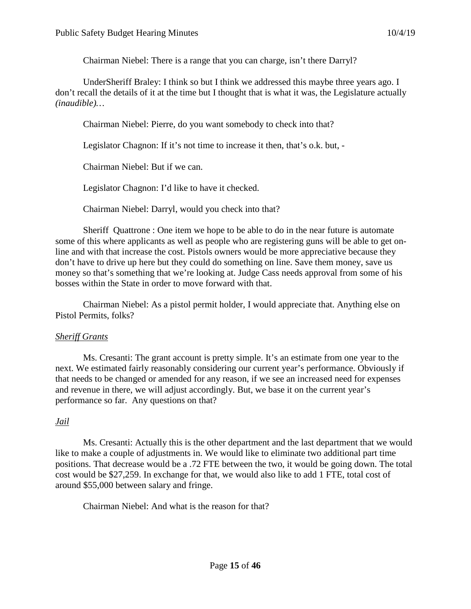Chairman Niebel: There is a range that you can charge, isn't there Darryl?

UnderSheriff Braley: I think so but I think we addressed this maybe three years ago. I don't recall the details of it at the time but I thought that is what it was, the Legislature actually *(inaudible)…*

Chairman Niebel: Pierre, do you want somebody to check into that?

Legislator Chagnon: If it's not time to increase it then, that's o.k. but, -

Chairman Niebel: But if we can.

Legislator Chagnon: I'd like to have it checked.

Chairman Niebel: Darryl, would you check into that?

Sheriff Quattrone : One item we hope to be able to do in the near future is automate some of this where applicants as well as people who are registering guns will be able to get online and with that increase the cost. Pistols owners would be more appreciative because they don't have to drive up here but they could do something on line. Save them money, save us money so that's something that we're looking at. Judge Cass needs approval from some of his bosses within the State in order to move forward with that.

Chairman Niebel: As a pistol permit holder, I would appreciate that. Anything else on Pistol Permits, folks?

#### *Sheriff Grants*

Ms. Cresanti: The grant account is pretty simple. It's an estimate from one year to the next. We estimated fairly reasonably considering our current year's performance. Obviously if that needs to be changed or amended for any reason, if we see an increased need for expenses and revenue in there, we will adjust accordingly. But, we base it on the current year's performance so far. Any questions on that?

## *Jail*

Ms. Cresanti: Actually this is the other department and the last department that we would like to make a couple of adjustments in. We would like to eliminate two additional part time positions. That decrease would be a .72 FTE between the two, it would be going down. The total cost would be \$27,259. In exchange for that, we would also like to add 1 FTE, total cost of around \$55,000 between salary and fringe.

Chairman Niebel: And what is the reason for that?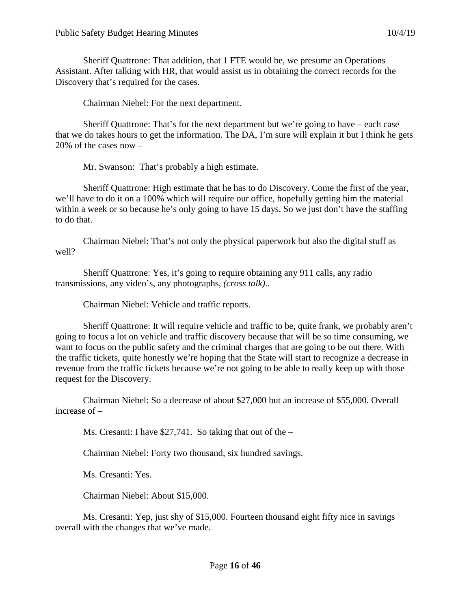Sheriff Quattrone: That addition, that 1 FTE would be, we presume an Operations Assistant. After talking with HR, that would assist us in obtaining the correct records for the Discovery that's required for the cases.

Chairman Niebel: For the next department.

Sheriff Quattrone: That's for the next department but we're going to have – each case that we do takes hours to get the information. The DA, I'm sure will explain it but I think he gets 20% of the cases now –

Mr. Swanson: That's probably a high estimate.

Sheriff Quattrone: High estimate that he has to do Discovery. Come the first of the year, we'll have to do it on a 100% which will require our office, hopefully getting him the material within a week or so because he's only going to have 15 days. So we just don't have the staffing to do that.

Chairman Niebel: That's not only the physical paperwork but also the digital stuff as well?

Sheriff Quattrone: Yes, it's going to require obtaining any 911 calls, any radio transmissions, any video's, any photographs, *(cross talk)*..

Chairman Niebel: Vehicle and traffic reports.

Sheriff Quattrone: It will require vehicle and traffic to be, quite frank, we probably aren't going to focus a lot on vehicle and traffic discovery because that will be so time consuming, we want to focus on the public safety and the criminal charges that are going to be out there. With the traffic tickets, quite honestly we're hoping that the State will start to recognize a decrease in revenue from the traffic tickets because we're not going to be able to really keep up with those request for the Discovery.

Chairman Niebel: So a decrease of about \$27,000 but an increase of \$55,000. Overall increase of –

Ms. Cresanti: I have \$27,741. So taking that out of the –

Chairman Niebel: Forty two thousand, six hundred savings.

Ms. Cresanti: Yes.

Chairman Niebel: About \$15,000.

Ms. Cresanti: Yep, just shy of \$15,000. Fourteen thousand eight fifty nice in savings overall with the changes that we've made.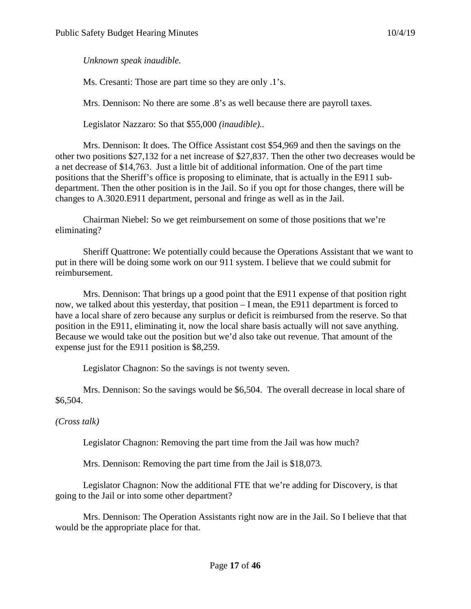## *Unknown speak inaudible.*

Ms. Cresanti: Those are part time so they are only .1's.

Mrs. Dennison: No there are some .8's as well because there are payroll taxes.

Legislator Nazzaro: So that \$55,000 *(inaudible)..*

Mrs. Dennison: It does. The Office Assistant cost \$54,969 and then the savings on the other two positions \$27,132 for a net increase of \$27,837. Then the other two decreases would be a net decrease of \$14,763. Just a little bit of additional information. One of the part time positions that the Sheriff's office is proposing to eliminate, that is actually in the E911 subdepartment. Then the other position is in the Jail. So if you opt for those changes, there will be changes to A.3020.E911 department, personal and fringe as well as in the Jail.

Chairman Niebel: So we get reimbursement on some of those positions that we're eliminating?

Sheriff Quattrone: We potentially could because the Operations Assistant that we want to put in there will be doing some work on our 911 system. I believe that we could submit for reimbursement.

Mrs. Dennison: That brings up a good point that the E911 expense of that position right now, we talked about this yesterday, that position – I mean, the E911 department is forced to have a local share of zero because any surplus or deficit is reimbursed from the reserve. So that position in the E911, eliminating it, now the local share basis actually will not save anything. Because we would take out the position but we'd also take out revenue. That amount of the expense just for the E911 position is \$8,259.

Legislator Chagnon: So the savings is not twenty seven.

Mrs. Dennison: So the savings would be \$6,504. The overall decrease in local share of \$6,504.

*(Cross talk)*

Legislator Chagnon: Removing the part time from the Jail was how much?

Mrs. Dennison: Removing the part time from the Jail is \$18,073.

Legislator Chagnon: Now the additional FTE that we're adding for Discovery, is that going to the Jail or into some other department?

Mrs. Dennison: The Operation Assistants right now are in the Jail. So I believe that that would be the appropriate place for that.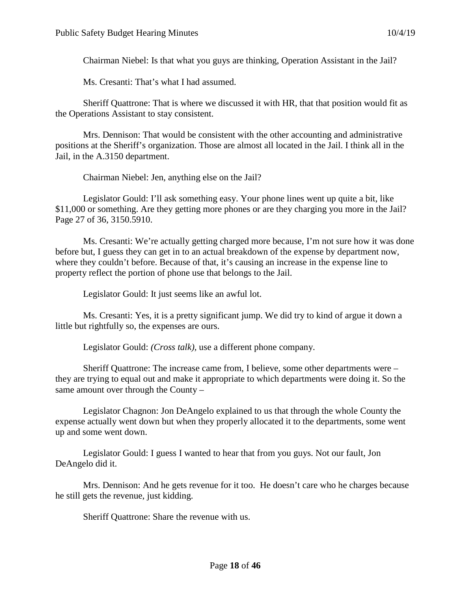Chairman Niebel: Is that what you guys are thinking, Operation Assistant in the Jail?

Ms. Cresanti: That's what I had assumed.

Sheriff Quattrone: That is where we discussed it with HR, that that position would fit as the Operations Assistant to stay consistent.

Mrs. Dennison: That would be consistent with the other accounting and administrative positions at the Sheriff's organization. Those are almost all located in the Jail. I think all in the Jail, in the A.3150 department.

Chairman Niebel: Jen, anything else on the Jail?

Legislator Gould: I'll ask something easy. Your phone lines went up quite a bit, like \$11,000 or something. Are they getting more phones or are they charging you more in the Jail? Page 27 of 36, 3150.5910.

Ms. Cresanti: We're actually getting charged more because, I'm not sure how it was done before but, I guess they can get in to an actual breakdown of the expense by department now, where they couldn't before. Because of that, it's causing an increase in the expense line to property reflect the portion of phone use that belongs to the Jail.

Legislator Gould: It just seems like an awful lot.

Ms. Cresanti: Yes, it is a pretty significant jump. We did try to kind of argue it down a little but rightfully so, the expenses are ours.

Legislator Gould: *(Cross talk),* use a different phone company.

Sheriff Quattrone: The increase came from, I believe, some other departments were – they are trying to equal out and make it appropriate to which departments were doing it. So the same amount over through the County –

Legislator Chagnon: Jon DeAngelo explained to us that through the whole County the expense actually went down but when they properly allocated it to the departments, some went up and some went down.

Legislator Gould: I guess I wanted to hear that from you guys. Not our fault, Jon DeAngelo did it.

Mrs. Dennison: And he gets revenue for it too. He doesn't care who he charges because he still gets the revenue, just kidding.

Sheriff Quattrone: Share the revenue with us.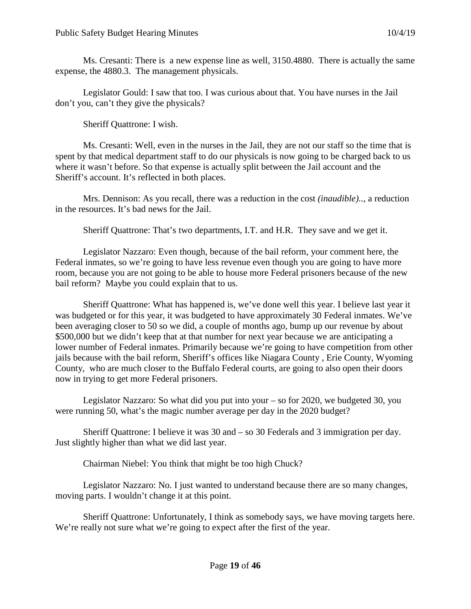Ms. Cresanti: There is a new expense line as well, 3150.4880. There is actually the same expense, the 4880.3. The management physicals.

Legislator Gould: I saw that too. I was curious about that. You have nurses in the Jail don't you, can't they give the physicals?

Sheriff Quattrone: I wish.

Ms. Cresanti: Well, even in the nurses in the Jail, they are not our staff so the time that is spent by that medical department staff to do our physicals is now going to be charged back to us where it wasn't before. So that expense is actually split between the Jail account and the Sheriff's account. It's reflected in both places.

Mrs. Dennison: As you recall, there was a reduction in the cost *(inaudible)..*, a reduction in the resources. It's bad news for the Jail.

Sheriff Quattrone: That's two departments, I.T. and H.R. They save and we get it.

Legislator Nazzaro: Even though, because of the bail reform, your comment here, the Federal inmates, so we're going to have less revenue even though you are going to have more room, because you are not going to be able to house more Federal prisoners because of the new bail reform? Maybe you could explain that to us.

Sheriff Quattrone: What has happened is, we've done well this year. I believe last year it was budgeted or for this year, it was budgeted to have approximately 30 Federal inmates. We've been averaging closer to 50 so we did, a couple of months ago, bump up our revenue by about \$500,000 but we didn't keep that at that number for next year because we are anticipating a lower number of Federal inmates. Primarily because we're going to have competition from other jails because with the bail reform, Sheriff's offices like Niagara County , Erie County, Wyoming County, who are much closer to the Buffalo Federal courts, are going to also open their doors now in trying to get more Federal prisoners.

Legislator Nazzaro: So what did you put into your – so for 2020, we budgeted 30, you were running 50, what's the magic number average per day in the 2020 budget?

Sheriff Quattrone: I believe it was 30 and – so 30 Federals and 3 immigration per day. Just slightly higher than what we did last year.

Chairman Niebel: You think that might be too high Chuck?

Legislator Nazzaro: No. I just wanted to understand because there are so many changes, moving parts. I wouldn't change it at this point.

Sheriff Quattrone: Unfortunately, I think as somebody says, we have moving targets here. We're really not sure what we're going to expect after the first of the year.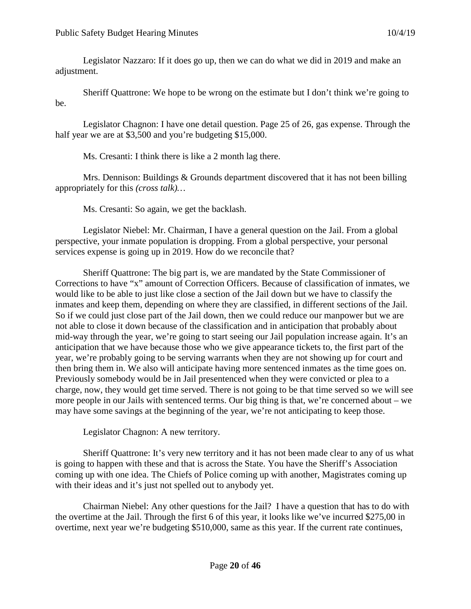Legislator Nazzaro: If it does go up, then we can do what we did in 2019 and make an adjustment.

Sheriff Quattrone: We hope to be wrong on the estimate but I don't think we're going to be.

Legislator Chagnon: I have one detail question. Page 25 of 26, gas expense. Through the half year we are at \$3,500 and you're budgeting \$15,000.

Ms. Cresanti: I think there is like a 2 month lag there.

Mrs. Dennison: Buildings & Grounds department discovered that it has not been billing appropriately for this *(cross talk)…*

Ms. Cresanti: So again, we get the backlash.

Legislator Niebel: Mr. Chairman, I have a general question on the Jail. From a global perspective, your inmate population is dropping. From a global perspective, your personal services expense is going up in 2019. How do we reconcile that?

Sheriff Quattrone: The big part is, we are mandated by the State Commissioner of Corrections to have "x" amount of Correction Officers. Because of classification of inmates, we would like to be able to just like close a section of the Jail down but we have to classify the inmates and keep them, depending on where they are classified, in different sections of the Jail. So if we could just close part of the Jail down, then we could reduce our manpower but we are not able to close it down because of the classification and in anticipation that probably about mid-way through the year, we're going to start seeing our Jail population increase again. It's an anticipation that we have because those who we give appearance tickets to, the first part of the year, we're probably going to be serving warrants when they are not showing up for court and then bring them in. We also will anticipate having more sentenced inmates as the time goes on. Previously somebody would be in Jail presentenced when they were convicted or plea to a charge, now, they would get time served. There is not going to be that time served so we will see more people in our Jails with sentenced terms. Our big thing is that, we're concerned about – we may have some savings at the beginning of the year, we're not anticipating to keep those.

Legislator Chagnon: A new territory.

Sheriff Quattrone: It's very new territory and it has not been made clear to any of us what is going to happen with these and that is across the State. You have the Sheriff's Association coming up with one idea. The Chiefs of Police coming up with another, Magistrates coming up with their ideas and it's just not spelled out to anybody yet.

Chairman Niebel: Any other questions for the Jail? I have a question that has to do with the overtime at the Jail. Through the first 6 of this year, it looks like we've incurred \$275,00 in overtime, next year we're budgeting \$510,000, same as this year. If the current rate continues,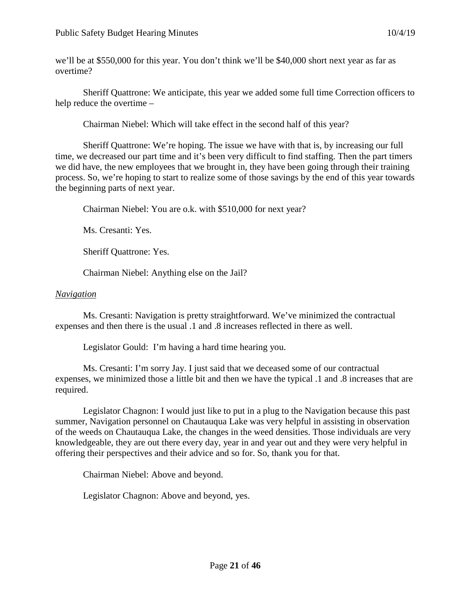we'll be at \$550,000 for this year. You don't think we'll be \$40,000 short next year as far as overtime?

Sheriff Quattrone: We anticipate, this year we added some full time Correction officers to help reduce the overtime –

Chairman Niebel: Which will take effect in the second half of this year?

Sheriff Quattrone: We're hoping. The issue we have with that is, by increasing our full time, we decreased our part time and it's been very difficult to find staffing. Then the part timers we did have, the new employees that we brought in, they have been going through their training process. So, we're hoping to start to realize some of those savings by the end of this year towards the beginning parts of next year.

Chairman Niebel: You are o.k. with \$510,000 for next year?

Ms. Cresanti: Yes.

Sheriff Quattrone: Yes.

Chairman Niebel: Anything else on the Jail?

### *Navigation*

Ms. Cresanti: Navigation is pretty straightforward. We've minimized the contractual expenses and then there is the usual .1 and .8 increases reflected in there as well.

Legislator Gould: I'm having a hard time hearing you.

Ms. Cresanti: I'm sorry Jay. I just said that we deceased some of our contractual expenses, we minimized those a little bit and then we have the typical .1 and .8 increases that are required.

Legislator Chagnon: I would just like to put in a plug to the Navigation because this past summer, Navigation personnel on Chautauqua Lake was very helpful in assisting in observation of the weeds on Chautauqua Lake, the changes in the weed densities. Those individuals are very knowledgeable, they are out there every day, year in and year out and they were very helpful in offering their perspectives and their advice and so for. So, thank you for that.

Chairman Niebel: Above and beyond.

Legislator Chagnon: Above and beyond, yes.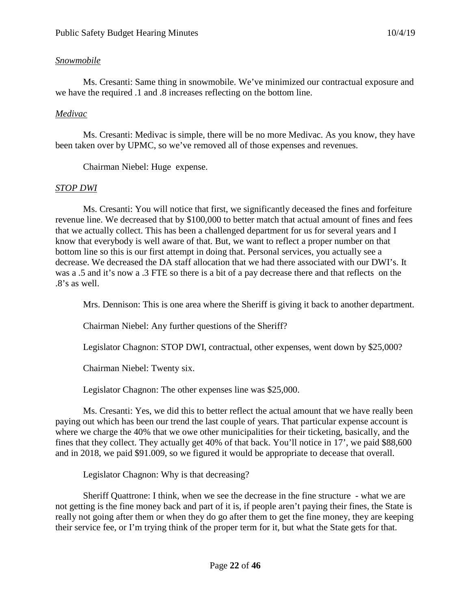# *Snowmobile*

Ms. Cresanti: Same thing in snowmobile. We've minimized our contractual exposure and we have the required .1 and .8 increases reflecting on the bottom line.

# *Medivac*

Ms. Cresanti: Medivac is simple, there will be no more Medivac. As you know, they have been taken over by UPMC, so we've removed all of those expenses and revenues.

Chairman Niebel: Huge expense.

# *STOP DWI*

Ms. Cresanti: You will notice that first, we significantly deceased the fines and forfeiture revenue line. We decreased that by \$100,000 to better match that actual amount of fines and fees that we actually collect. This has been a challenged department for us for several years and I know that everybody is well aware of that. But, we want to reflect a proper number on that bottom line so this is our first attempt in doing that. Personal services, you actually see a decrease. We decreased the DA staff allocation that we had there associated with our DWI's. It was a .5 and it's now a .3 FTE so there is a bit of a pay decrease there and that reflects on the .8's as well.

Mrs. Dennison: This is one area where the Sheriff is giving it back to another department.

Chairman Niebel: Any further questions of the Sheriff?

Legislator Chagnon: STOP DWI, contractual, other expenses, went down by \$25,000?

Chairman Niebel: Twenty six.

Legislator Chagnon: The other expenses line was \$25,000.

Ms. Cresanti: Yes, we did this to better reflect the actual amount that we have really been paying out which has been our trend the last couple of years. That particular expense account is where we charge the 40% that we owe other municipalities for their ticketing, basically, and the fines that they collect. They actually get 40% of that back. You'll notice in 17', we paid \$88,600 and in 2018, we paid \$91.009, so we figured it would be appropriate to decease that overall.

Legislator Chagnon: Why is that decreasing?

Sheriff Quattrone: I think, when we see the decrease in the fine structure - what we are not getting is the fine money back and part of it is, if people aren't paying their fines, the State is really not going after them or when they do go after them to get the fine money, they are keeping their service fee, or I'm trying think of the proper term for it, but what the State gets for that.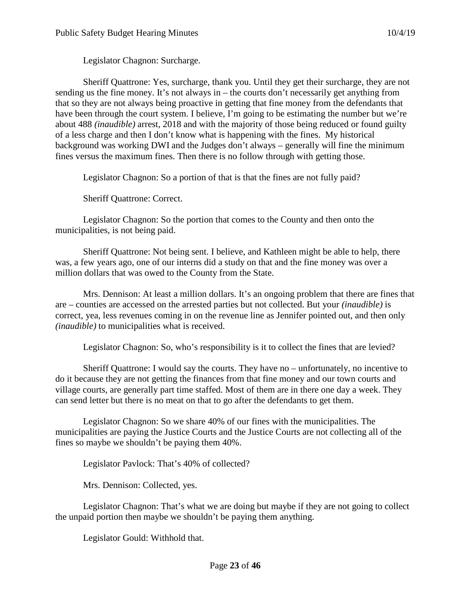Legislator Chagnon: Surcharge.

Sheriff Quattrone: Yes, surcharge, thank you. Until they get their surcharge, they are not sending us the fine money. It's not always in – the courts don't necessarily get anything from that so they are not always being proactive in getting that fine money from the defendants that have been through the court system. I believe, I'm going to be estimating the number but we're about 488 *(inaudible)* arrest, 2018 and with the majority of those being reduced or found guilty of a less charge and then I don't know what is happening with the fines. My historical background was working DWI and the Judges don't always – generally will fine the minimum fines versus the maximum fines. Then there is no follow through with getting those.

Legislator Chagnon: So a portion of that is that the fines are not fully paid?

Sheriff Quattrone: Correct.

Legislator Chagnon: So the portion that comes to the County and then onto the municipalities, is not being paid.

Sheriff Quattrone: Not being sent. I believe, and Kathleen might be able to help, there was, a few years ago, one of our interns did a study on that and the fine money was over a million dollars that was owed to the County from the State.

Mrs. Dennison: At least a million dollars. It's an ongoing problem that there are fines that are – counties are accessed on the arrested parties but not collected. But your *(inaudible)* is correct, yea, less revenues coming in on the revenue line as Jennifer pointed out, and then only *(inaudible)* to municipalities what is received.

Legislator Chagnon: So, who's responsibility is it to collect the fines that are levied?

Sheriff Quattrone: I would say the courts. They have no – unfortunately, no incentive to do it because they are not getting the finances from that fine money and our town courts and village courts, are generally part time staffed. Most of them are in there one day a week. They can send letter but there is no meat on that to go after the defendants to get them.

Legislator Chagnon: So we share 40% of our fines with the municipalities. The municipalities are paying the Justice Courts and the Justice Courts are not collecting all of the fines so maybe we shouldn't be paying them 40%.

Legislator Pavlock: That's 40% of collected?

Mrs. Dennison: Collected, yes.

Legislator Chagnon: That's what we are doing but maybe if they are not going to collect the unpaid portion then maybe we shouldn't be paying them anything.

Legislator Gould: Withhold that.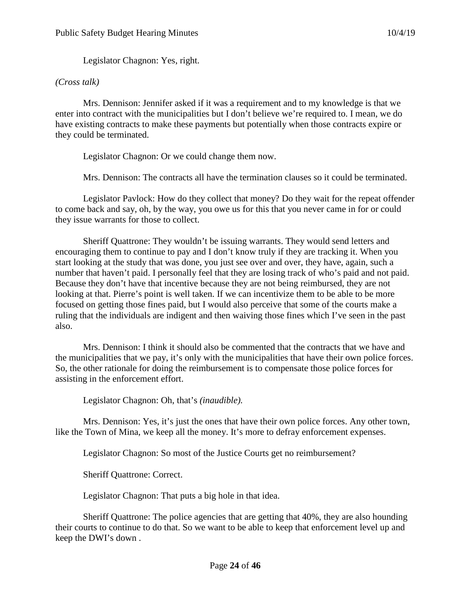Legislator Chagnon: Yes, right.

### *(Cross talk)*

Mrs. Dennison: Jennifer asked if it was a requirement and to my knowledge is that we enter into contract with the municipalities but I don't believe we're required to. I mean, we do have existing contracts to make these payments but potentially when those contracts expire or they could be terminated.

Legislator Chagnon: Or we could change them now.

Mrs. Dennison: The contracts all have the termination clauses so it could be terminated.

Legislator Pavlock: How do they collect that money? Do they wait for the repeat offender to come back and say, oh, by the way, you owe us for this that you never came in for or could they issue warrants for those to collect.

Sheriff Quattrone: They wouldn't be issuing warrants. They would send letters and encouraging them to continue to pay and I don't know truly if they are tracking it. When you start looking at the study that was done, you just see over and over, they have, again, such a number that haven't paid. I personally feel that they are losing track of who's paid and not paid. Because they don't have that incentive because they are not being reimbursed, they are not looking at that. Pierre's point is well taken. If we can incentivize them to be able to be more focused on getting those fines paid, but I would also perceive that some of the courts make a ruling that the individuals are indigent and then waiving those fines which I've seen in the past also.

Mrs. Dennison: I think it should also be commented that the contracts that we have and the municipalities that we pay, it's only with the municipalities that have their own police forces. So, the other rationale for doing the reimbursement is to compensate those police forces for assisting in the enforcement effort.

Legislator Chagnon: Oh, that's *(inaudible).*

Mrs. Dennison: Yes, it's just the ones that have their own police forces. Any other town, like the Town of Mina, we keep all the money. It's more to defray enforcement expenses.

Legislator Chagnon: So most of the Justice Courts get no reimbursement?

Sheriff Quattrone: Correct.

Legislator Chagnon: That puts a big hole in that idea.

Sheriff Quattrone: The police agencies that are getting that 40%, they are also hounding their courts to continue to do that. So we want to be able to keep that enforcement level up and keep the DWI's down .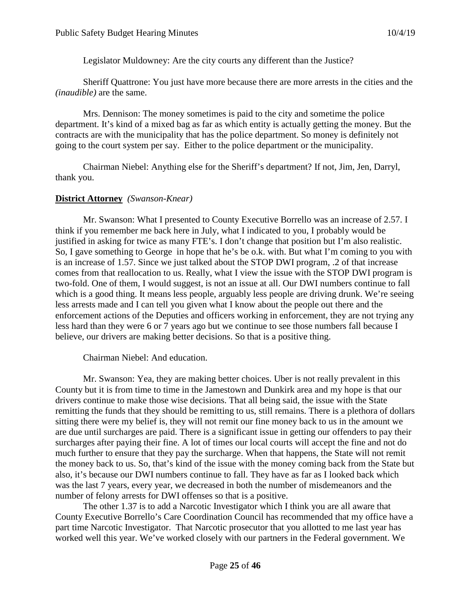Legislator Muldowney: Are the city courts any different than the Justice?

Sheriff Quattrone: You just have more because there are more arrests in the cities and the *(inaudible)* are the same.

Mrs. Dennison: The money sometimes is paid to the city and sometime the police department. It's kind of a mixed bag as far as which entity is actually getting the money. But the contracts are with the municipality that has the police department. So money is definitely not going to the court system per say. Either to the police department or the municipality.

Chairman Niebel: Anything else for the Sheriff's department? If not, Jim, Jen, Darryl, thank you.

## **District Attorney** *(Swanson-Knear)*

Mr. Swanson: What I presented to County Executive Borrello was an increase of 2.57. I think if you remember me back here in July, what I indicated to you, I probably would be justified in asking for twice as many FTE's. I don't change that position but I'm also realistic. So, I gave something to George in hope that he's be o.k. with. But what I'm coming to you with is an increase of 1.57. Since we just talked about the STOP DWI program, .2 of that increase comes from that reallocation to us. Really, what I view the issue with the STOP DWI program is two-fold. One of them, I would suggest, is not an issue at all. Our DWI numbers continue to fall which is a good thing. It means less people, arguably less people are driving drunk. We're seeing less arrests made and I can tell you given what I know about the people out there and the enforcement actions of the Deputies and officers working in enforcement, they are not trying any less hard than they were 6 or 7 years ago but we continue to see those numbers fall because I believe, our drivers are making better decisions. So that is a positive thing.

Chairman Niebel: And education.

Mr. Swanson: Yea, they are making better choices. Uber is not really prevalent in this County but it is from time to time in the Jamestown and Dunkirk area and my hope is that our drivers continue to make those wise decisions. That all being said, the issue with the State remitting the funds that they should be remitting to us, still remains. There is a plethora of dollars sitting there were my belief is, they will not remit our fine money back to us in the amount we are due until surcharges are paid. There is a significant issue in getting our offenders to pay their surcharges after paying their fine. A lot of times our local courts will accept the fine and not do much further to ensure that they pay the surcharge. When that happens, the State will not remit the money back to us. So, that's kind of the issue with the money coming back from the State but also, it's because our DWI numbers continue to fall. They have as far as I looked back which was the last 7 years, every year, we decreased in both the number of misdemeanors and the number of felony arrests for DWI offenses so that is a positive.

The other 1.37 is to add a Narcotic Investigator which I think you are all aware that County Executive Borrello's Care Coordination Council has recommended that my office have a part time Narcotic Investigator. That Narcotic prosecutor that you allotted to me last year has worked well this year. We've worked closely with our partners in the Federal government. We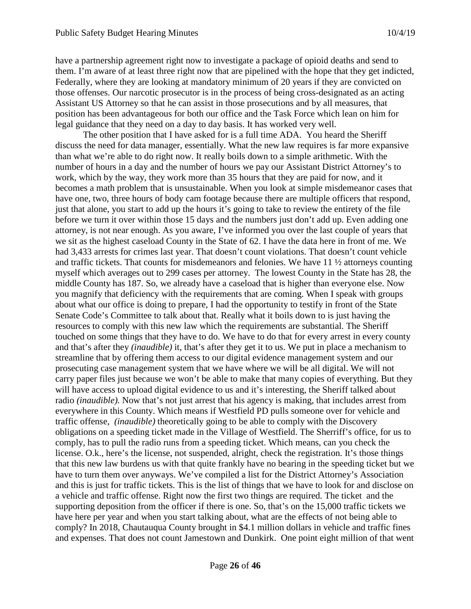have a partnership agreement right now to investigate a package of opioid deaths and send to them. I'm aware of at least three right now that are pipelined with the hope that they get indicted, Federally, where they are looking at mandatory minimum of 20 years if they are convicted on those offenses. Our narcotic prosecutor is in the process of being cross-designated as an acting Assistant US Attorney so that he can assist in those prosecutions and by all measures, that position has been advantageous for both our office and the Task Force which lean on him for legal guidance that they need on a day to day basis. It has worked very well.

The other position that I have asked for is a full time ADA. You heard the Sheriff discuss the need for data manager, essentially. What the new law requires is far more expansive than what we're able to do right now. It really boils down to a simple arithmetic. With the number of hours in a day and the number of hours we pay our Assistant District Attorney's to work, which by the way, they work more than 35 hours that they are paid for now, and it becomes a math problem that is unsustainable. When you look at simple misdemeanor cases that have one, two, three hours of body cam footage because there are multiple officers that respond, just that alone, you start to add up the hours it's going to take to review the entirety of the file before we turn it over within those 15 days and the numbers just don't add up. Even adding one attorney, is not near enough. As you aware, I've informed you over the last couple of years that we sit as the highest caseload County in the State of 62. I have the data here in front of me. We had 3,433 arrests for crimes last year. That doesn't count violations. That doesn't count vehicle and traffic tickets. That counts for misdemeanors and felonies. We have 11 ½ attorneys counting myself which averages out to 299 cases per attorney. The lowest County in the State has 28, the middle County has 187. So, we already have a caseload that is higher than everyone else. Now you magnify that deficiency with the requirements that are coming. When I speak with groups about what our office is doing to prepare, I had the opportunity to testify in front of the State Senate Code's Committee to talk about that. Really what it boils down to is just having the resources to comply with this new law which the requirements are substantial. The Sheriff touched on some things that they have to do. We have to do that for every arrest in every county and that's after they *(inaudible)* it, that's after they get it to us. We put in place a mechanism to streamline that by offering them access to our digital evidence management system and our prosecuting case management system that we have where we will be all digital. We will not carry paper files just because we won't be able to make that many copies of everything. But they will have access to upload digital evidence to us and it's interesting, the Sheriff talked about radio *(inaudible).* Now that's not just arrest that his agency is making, that includes arrest from everywhere in this County. Which means if Westfield PD pulls someone over for vehicle and traffic offense, *(inaudible)* theoretically going to be able to comply with the Discovery obligations on a speeding ticket made in the Village of Westfield. The Sherriff's office, for us to comply, has to pull the radio runs from a speeding ticket. Which means, can you check the license. O.k., here's the license, not suspended, alright, check the registration. It's those things that this new law burdens us with that quite frankly have no bearing in the speeding ticket but we have to turn them over anyways. We've compiled a list for the District Attorney's Association and this is just for traffic tickets. This is the list of things that we have to look for and disclose on a vehicle and traffic offense. Right now the first two things are required. The ticket and the supporting deposition from the officer if there is one. So, that's on the 15,000 traffic tickets we have here per year and when you start talking about, what are the effects of not being able to comply? In 2018, Chautauqua County brought in \$4.1 million dollars in vehicle and traffic fines and expenses. That does not count Jamestown and Dunkirk. One point eight million of that went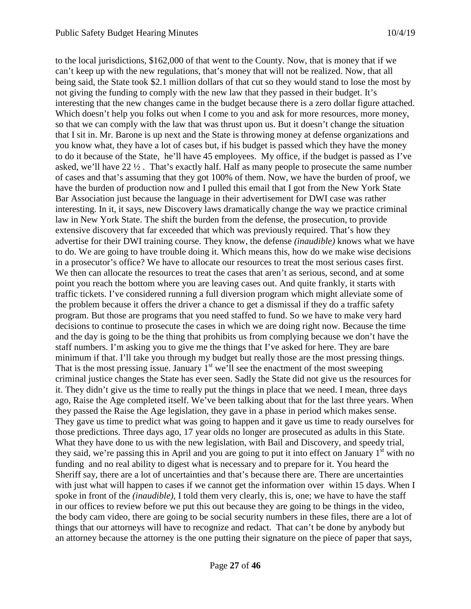to the local jurisdictions, \$162,000 of that went to the County. Now, that is money that if we can't keep up with the new regulations, that's money that will not be realized. Now, that all being said, the State took \$2.1 million dollars of that cut so they would stand to lose the most by not giving the funding to comply with the new law that they passed in their budget. It's interesting that the new changes came in the budget because there is a zero dollar figure attached. Which doesn't help you folks out when I come to you and ask for more resources, more money, so that we can comply with the law that was thrust upon us. But it doesn't change the situation that I sit in. Mr. Barone is up next and the State is throwing money at defense organizations and you know what, they have a lot of cases but, if his budget is passed which they have the money to do it because of the State, he'll have 45 employees. My office, if the budget is passed as I've asked, we'll have  $22 \frac{1}{2}$ . That's exactly half. Half as many people to prosecute the same number of cases and that's assuming that they got 100% of them. Now, we have the burden of proof, we have the burden of production now and I pulled this email that I got from the New York State Bar Association just because the language in their advertisement for DWI case was rather interesting. In it, it says, new Discovery laws dramatically change the way we practice criminal law in New York State. The shift the burden from the defense, the prosecution, to provide extensive discovery that far exceeded that which was previously required. That's how they advertise for their DWI training course. They know, the defense *(inaudible)* knows what we have to do. We are going to have trouble doing it. Which means this, how do we make wise decisions in a prosecutor's office? We have to allocate our resources to treat the most serious cases first. We then can allocate the resources to treat the cases that aren't as serious, second, and at some point you reach the bottom where you are leaving cases out. And quite frankly, it starts with traffic tickets. I've considered running a full diversion program which might alleviate some of the problem because it offers the driver a chance to get a dismissal if they do a traffic safety program. But those are programs that you need staffed to fund. So we have to make very hard decisions to continue to prosecute the cases in which we are doing right now. Because the time and the day is going to be the thing that prohibits us from complying because we don't have the staff numbers. I'm asking you to give me the things that I've asked for here. They are bare minimum if that. I'll take you through my budget but really those are the most pressing things. That is the most pressing issue. January  $1<sup>st</sup>$  we'll see the enactment of the most sweeping criminal justice changes the State has ever seen. Sadly the State did not give us the resources for it. They didn't give us the time to really put the things in place that we need. I mean, three days ago, Raise the Age completed itself. We've been talking about that for the last three years. When they passed the Raise the Age legislation, they gave in a phase in period which makes sense. They gave us time to predict what was going to happen and it gave us time to ready ourselves for those predictions. Three days ago, 17 year olds no longer are prosecuted as adults in this State. What they have done to us with the new legislation, with Bail and Discovery, and speedy trial, they said, we're passing this in April and you are going to put it into effect on January  $1<sup>st</sup>$  with no funding and no real ability to digest what is necessary and to prepare for it. You heard the Sheriff say, there are a lot of uncertainties and that's because there are. There are uncertainties with just what will happen to cases if we cannot get the information over within 15 days. When I spoke in front of the *(inaudible)*, I told them very clearly, this is, one; we have to have the staff in our offices to review before we put this out because they are going to be things in the video, the body cam video, there are going to be social security numbers in these files, there are a lot of things that our attorneys will have to recognize and redact. That can't be done by anybody but an attorney because the attorney is the one putting their signature on the piece of paper that says,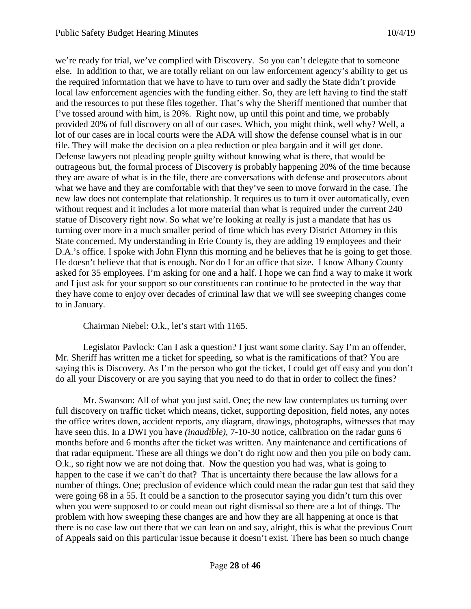we're ready for trial, we've complied with Discovery. So you can't delegate that to someone else. In addition to that, we are totally reliant on our law enforcement agency's ability to get us the required information that we have to have to turn over and sadly the State didn't provide local law enforcement agencies with the funding either. So, they are left having to find the staff and the resources to put these files together. That's why the Sheriff mentioned that number that I've tossed around with him, is 20%. Right now, up until this point and time, we probably provided 20% of full discovery on all of our cases. Which, you might think, well why? Well, a lot of our cases are in local courts were the ADA will show the defense counsel what is in our file. They will make the decision on a plea reduction or plea bargain and it will get done. Defense lawyers not pleading people guilty without knowing what is there, that would be outrageous but, the formal process of Discovery is probably happening 20% of the time because they are aware of what is in the file, there are conversations with defense and prosecutors about what we have and they are comfortable with that they've seen to move forward in the case. The new law does not contemplate that relationship. It requires us to turn it over automatically, even without request and it includes a lot more material than what is required under the current 240 statue of Discovery right now. So what we're looking at really is just a mandate that has us turning over more in a much smaller period of time which has every District Attorney in this State concerned. My understanding in Erie County is, they are adding 19 employees and their D.A.'s office. I spoke with John Flynn this morning and he believes that he is going to get those. He doesn't believe that that is enough. Nor do I for an office that size. I know Albany County asked for 35 employees. I'm asking for one and a half. I hope we can find a way to make it work and I just ask for your support so our constituents can continue to be protected in the way that they have come to enjoy over decades of criminal law that we will see sweeping changes come to in January.

Chairman Niebel: O.k., let's start with 1165.

Legislator Pavlock: Can I ask a question? I just want some clarity. Say I'm an offender, Mr. Sheriff has written me a ticket for speeding, so what is the ramifications of that? You are saying this is Discovery. As I'm the person who got the ticket, I could get off easy and you don't do all your Discovery or are you saying that you need to do that in order to collect the fines?

Mr. Swanson: All of what you just said. One; the new law contemplates us turning over full discovery on traffic ticket which means, ticket, supporting deposition, field notes, any notes the office writes down, accident reports, any diagram, drawings, photographs, witnesses that may have seen this. In a DWI you have *(inaudible)*, 7-10-30 notice, calibration on the radar guns 6 months before and 6 months after the ticket was written. Any maintenance and certifications of that radar equipment. These are all things we don't do right now and then you pile on body cam. O.k., so right now we are not doing that. Now the question you had was, what is going to happen to the case if we can't do that? That is uncertainty there because the law allows for a number of things. One; preclusion of evidence which could mean the radar gun test that said they were going 68 in a 55. It could be a sanction to the prosecutor saying you didn't turn this over when you were supposed to or could mean out right dismissal so there are a lot of things. The problem with how sweeping these changes are and how they are all happening at once is that there is no case law out there that we can lean on and say, alright, this is what the previous Court of Appeals said on this particular issue because it doesn't exist. There has been so much change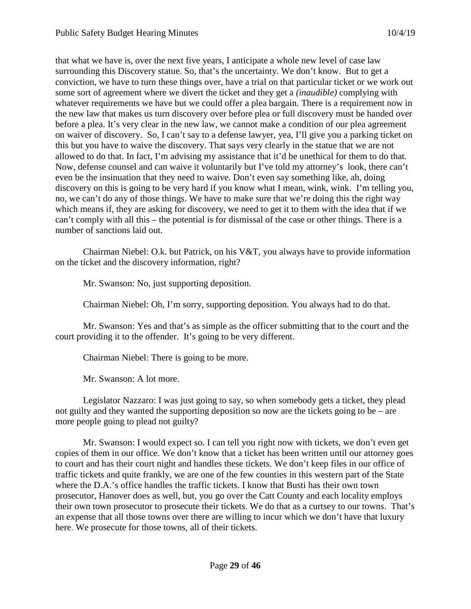that what we have is, over the next five years, I anticipate a whole new level of case law surrounding this Discovery statue. So, that's the uncertainty. We don't know. But to get a conviction, we have to turn these things over, have a trial on that particular ticket or we work out some sort of agreement where we divert the ticket and they get a *(inaudible)* complying with whatever requirements we have but we could offer a plea bargain. There is a requirement now in the new law that makes us turn discovery over before plea or full discovery must be handed over before a plea. It's very clear in the new law, we cannot make a condition of our plea agreement on waiver of discovery. So, I can't say to a defense lawyer, yea, I'll give you a parking ticket on this but you have to waive the discovery. That says very clearly in the statue that we are not allowed to do that. In fact, I'm advising my assistance that it'd be unethical for them to do that. Now, defense counsel and can waive it voluntarily but I've told my attorney's look, there can't even be the insinuation that they need to waive. Don't even say something like, ah, doing discovery on this is going to be very hard if you know what I mean, wink, wink. I'm telling you, no, we can't do any of those things. We have to make sure that we're doing this the right way which means if, they are asking for discovery, we need to get it to them with the idea that if we can't comply with all this – the potential is for dismissal of the case or other things. There is a number of sanctions laid out.

Chairman Niebel: O.k. but Patrick, on his V&T, you always have to provide information on the ticket and the discovery information, right?

Mr. Swanson: No, just supporting deposition.

Chairman Niebel: Oh, I'm sorry, supporting deposition. You always had to do that.

Mr. Swanson: Yes and that's as simple as the officer submitting that to the court and the court providing it to the offender. It's going to be very different.

Chairman Niebel: There is going to be more.

Mr. Swanson: A lot more.

Legislator Nazzaro: I was just going to say, so when somebody gets a ticket, they plead not guilty and they wanted the supporting deposition so now are the tickets going to be – are more people going to plead not guilty?

Mr. Swanson: I would expect so. I can tell you right now with tickets, we don't even get copies of them in our office. We don't know that a ticket has been written until our attorney goes to court and has their court night and handles these tickets. We don't keep files in our office of traffic tickets and quite frankly, we are one of the few counties in this western part of the State where the D.A.'s office handles the traffic tickets. I know that Busti has their own town prosecutor, Hanover does as well, but, you go over the Catt County and each locality employs their own town prosecutor to prosecute their tickets. We do that as a curtsey to our towns. That's an expense that all those towns over there are willing to incur which we don't have that luxury here. We prosecute for those towns, all of their tickets.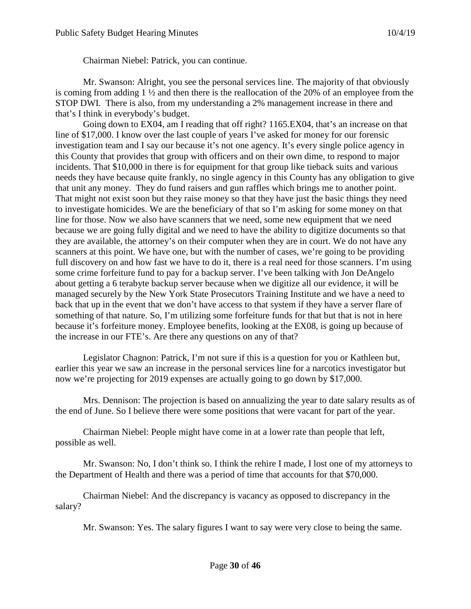Chairman Niebel: Patrick, you can continue.

Mr. Swanson: Alright, you see the personal services line. The majority of that obviously is coming from adding 1 ½ and then there is the reallocation of the 20% of an employee from the STOP DWI. There is also, from my understanding a 2% management increase in there and that's I think in everybody's budget.

Going down to EX04, am I reading that off right? 1165.EX04, that's an increase on that line of \$17,000. I know over the last couple of years I've asked for money for our forensic investigation team and I say our because it's not one agency. It's every single police agency in this County that provides that group with officers and on their own dime, to respond to major incidents. That \$10,000 in there is for equipment for that group like tieback suits and various needs they have because quite frankly, no single agency in this County has any obligation to give that unit any money. They do fund raisers and gun raffles which brings me to another point. That might not exist soon but they raise money so that they have just the basic things they need to investigate homicides. We are the beneficiary of that so I'm asking for some money on that line for those. Now we also have scanners that we need, some new equipment that we need because we are going fully digital and we need to have the ability to digitize documents so that they are available, the attorney's on their computer when they are in court. We do not have any scanners at this point. We have one, but with the number of cases, we're going to be providing full discovery on and how fast we have to do it, there is a real need for those scanners. I'm using some crime forfeiture fund to pay for a backup server. I've been talking with Jon DeAngelo about getting a 6 terabyte backup server because when we digitize all our evidence, it will be managed securely by the New York State Prosecutors Training Institute and we have a need to back that up in the event that we don't have access to that system if they have a server flare of something of that nature. So, I'm utilizing some forfeiture funds for that but that is not in here because it's forfeiture money. Employee benefits, looking at the EX08, is going up because of the increase in our FTE's. Are there any questions on any of that?

Legislator Chagnon: Patrick, I'm not sure if this is a question for you or Kathleen but, earlier this year we saw an increase in the personal services line for a narcotics investigator but now we're projecting for 2019 expenses are actually going to go down by \$17,000.

Mrs. Dennison: The projection is based on annualizing the year to date salary results as of the end of June. So I believe there were some positions that were vacant for part of the year.

Chairman Niebel: People might have come in at a lower rate than people that left, possible as well.

Mr. Swanson: No, I don't think so. I think the rehire I made, I lost one of my attorneys to the Department of Health and there was a period of time that accounts for that \$70,000.

Chairman Niebel: And the discrepancy is vacancy as opposed to discrepancy in the salary?

Mr. Swanson: Yes. The salary figures I want to say were very close to being the same.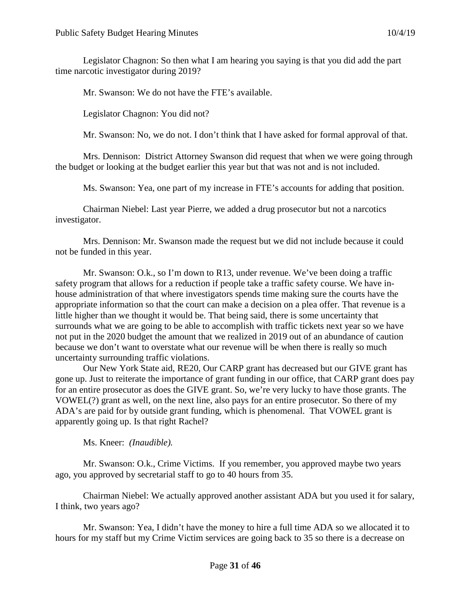Legislator Chagnon: So then what I am hearing you saying is that you did add the part time narcotic investigator during 2019?

Mr. Swanson: We do not have the FTE's available.

Legislator Chagnon: You did not?

Mr. Swanson: No, we do not. I don't think that I have asked for formal approval of that.

Mrs. Dennison: District Attorney Swanson did request that when we were going through the budget or looking at the budget earlier this year but that was not and is not included.

Ms. Swanson: Yea, one part of my increase in FTE's accounts for adding that position.

Chairman Niebel: Last year Pierre, we added a drug prosecutor but not a narcotics investigator.

Mrs. Dennison: Mr. Swanson made the request but we did not include because it could not be funded in this year.

Mr. Swanson: O.k., so I'm down to R13, under revenue. We've been doing a traffic safety program that allows for a reduction if people take a traffic safety course. We have inhouse administration of that where investigators spends time making sure the courts have the appropriate information so that the court can make a decision on a plea offer. That revenue is a little higher than we thought it would be. That being said, there is some uncertainty that surrounds what we are going to be able to accomplish with traffic tickets next year so we have not put in the 2020 budget the amount that we realized in 2019 out of an abundance of caution because we don't want to overstate what our revenue will be when there is really so much uncertainty surrounding traffic violations.

Our New York State aid, RE20, Our CARP grant has decreased but our GIVE grant has gone up. Just to reiterate the importance of grant funding in our office, that CARP grant does pay for an entire prosecutor as does the GIVE grant. So, we're very lucky to have those grants. The VOWEL(?) grant as well, on the next line, also pays for an entire prosecutor. So there of my ADA's are paid for by outside grant funding, which is phenomenal. That VOWEL grant is apparently going up. Is that right Rachel?

Ms. Kneer: *(Inaudible).*

Mr. Swanson: O.k., Crime Victims. If you remember, you approved maybe two years ago, you approved by secretarial staff to go to 40 hours from 35.

Chairman Niebel: We actually approved another assistant ADA but you used it for salary, I think, two years ago?

Mr. Swanson: Yea, I didn't have the money to hire a full time ADA so we allocated it to hours for my staff but my Crime Victim services are going back to 35 so there is a decrease on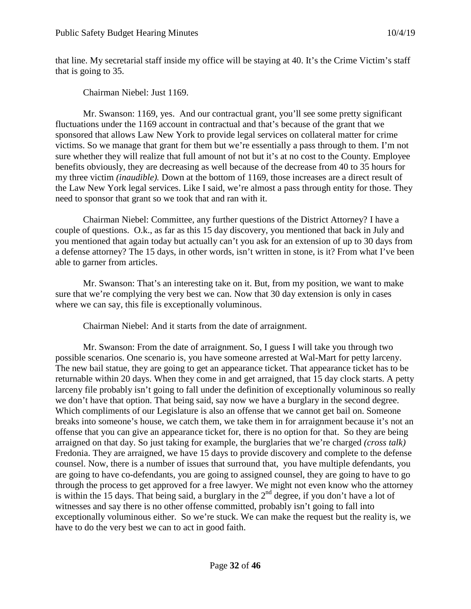that line. My secretarial staff inside my office will be staying at 40. It's the Crime Victim's staff that is going to 35.

Chairman Niebel: Just 1169.

Mr. Swanson: 1169, yes. And our contractual grant, you'll see some pretty significant fluctuations under the 1169 account in contractual and that's because of the grant that we sponsored that allows Law New York to provide legal services on collateral matter for crime victims. So we manage that grant for them but we're essentially a pass through to them. I'm not sure whether they will realize that full amount of not but it's at no cost to the County. Employee benefits obviously, they are decreasing as well because of the decrease from 40 to 35 hours for my three victim *(inaudible).* Down at the bottom of 1169, those increases are a direct result of the Law New York legal services. Like I said, we're almost a pass through entity for those. They need to sponsor that grant so we took that and ran with it.

Chairman Niebel: Committee, any further questions of the District Attorney? I have a couple of questions. O.k., as far as this 15 day discovery, you mentioned that back in July and you mentioned that again today but actually can't you ask for an extension of up to 30 days from a defense attorney? The 15 days, in other words, isn't written in stone, is it? From what I've been able to garner from articles.

Mr. Swanson: That's an interesting take on it. But, from my position, we want to make sure that we're complying the very best we can. Now that 30 day extension is only in cases where we can say, this file is exceptionally voluminous.

Chairman Niebel: And it starts from the date of arraignment.

Mr. Swanson: From the date of arraignment. So, I guess I will take you through two possible scenarios. One scenario is, you have someone arrested at Wal-Mart for petty larceny. The new bail statue, they are going to get an appearance ticket. That appearance ticket has to be returnable within 20 days. When they come in and get arraigned, that 15 day clock starts. A petty larceny file probably isn't going to fall under the definition of exceptionally voluminous so really we don't have that option. That being said, say now we have a burglary in the second degree. Which compliments of our Legislature is also an offense that we cannot get bail on. Someone breaks into someone's house, we catch them, we take them in for arraignment because it's not an offense that you can give an appearance ticket for, there is no option for that. So they are being arraigned on that day. So just taking for example, the burglaries that we're charged *(cross talk)* Fredonia. They are arraigned, we have 15 days to provide discovery and complete to the defense counsel. Now, there is a number of issues that surround that, you have multiple defendants, you are going to have co-defendants, you are going to assigned counsel, they are going to have to go through the process to get approved for a free lawyer. We might not even know who the attorney is within the 15 days. That being said, a burglary in the  $2<sup>nd</sup>$  degree, if you don't have a lot of witnesses and say there is no other offense committed, probably isn't going to fall into exceptionally voluminous either. So we're stuck. We can make the request but the reality is, we have to do the very best we can to act in good faith.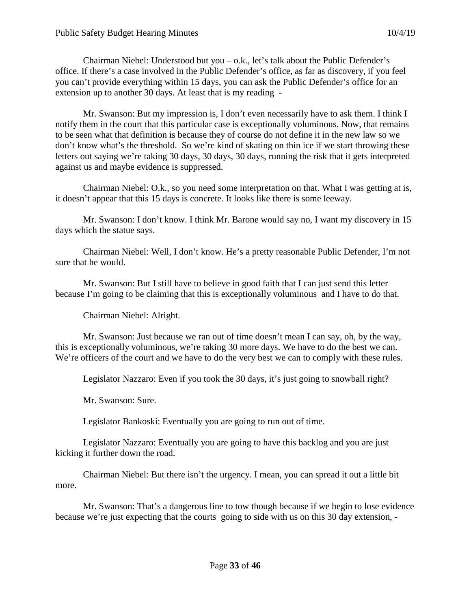Chairman Niebel: Understood but you  $-$  o.k., let's talk about the Public Defender's office. If there's a case involved in the Public Defender's office, as far as discovery, if you feel you can't provide everything within 15 days, you can ask the Public Defender's office for an extension up to another 30 days. At least that is my reading -

Mr. Swanson: But my impression is, I don't even necessarily have to ask them. I think I notify them in the court that this particular case is exceptionally voluminous. Now, that remains to be seen what that definition is because they of course do not define it in the new law so we don't know what's the threshold. So we're kind of skating on thin ice if we start throwing these letters out saying we're taking 30 days, 30 days, 30 days, running the risk that it gets interpreted against us and maybe evidence is suppressed.

Chairman Niebel: O.k., so you need some interpretation on that. What I was getting at is, it doesn't appear that this 15 days is concrete. It looks like there is some leeway.

Mr. Swanson: I don't know. I think Mr. Barone would say no, I want my discovery in 15 days which the statue says.

Chairman Niebel: Well, I don't know. He's a pretty reasonable Public Defender, I'm not sure that he would.

Mr. Swanson: But I still have to believe in good faith that I can just send this letter because I'm going to be claiming that this is exceptionally voluminous and I have to do that.

Chairman Niebel: Alright.

Mr. Swanson: Just because we ran out of time doesn't mean I can say, oh, by the way, this is exceptionally voluminous, we're taking 30 more days. We have to do the best we can. We're officers of the court and we have to do the very best we can to comply with these rules.

Legislator Nazzaro: Even if you took the 30 days, it's just going to snowball right?

Mr. Swanson: Sure.

Legislator Bankoski: Eventually you are going to run out of time.

Legislator Nazzaro: Eventually you are going to have this backlog and you are just kicking it further down the road.

Chairman Niebel: But there isn't the urgency. I mean, you can spread it out a little bit more.

Mr. Swanson: That's a dangerous line to tow though because if we begin to lose evidence because we're just expecting that the courts going to side with us on this 30 day extension, -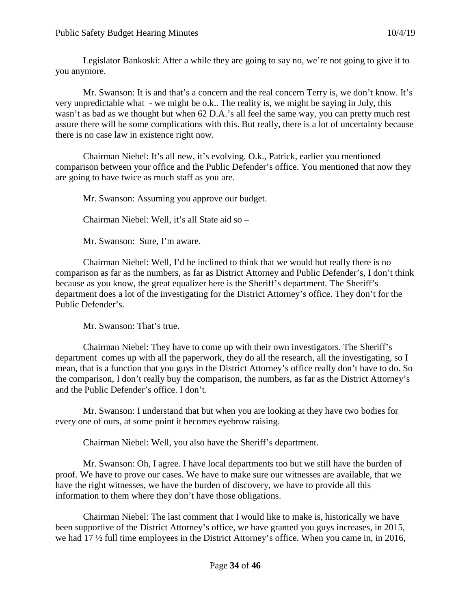Legislator Bankoski: After a while they are going to say no, we're not going to give it to you anymore.

Mr. Swanson: It is and that's a concern and the real concern Terry is, we don't know. It's very unpredictable what - we might be o.k.. The reality is, we might be saying in July, this wasn't as bad as we thought but when 62 D.A.'s all feel the same way, you can pretty much rest assure there will be some complications with this. But really, there is a lot of uncertainty because there is no case law in existence right now.

Chairman Niebel: It's all new, it's evolving. O.k., Patrick, earlier you mentioned comparison between your office and the Public Defender's office. You mentioned that now they are going to have twice as much staff as you are.

Mr. Swanson: Assuming you approve our budget.

Chairman Niebel: Well, it's all State aid so –

Mr. Swanson: Sure, I'm aware.

Chairman Niebel: Well, I'd be inclined to think that we would but really there is no comparison as far as the numbers, as far as District Attorney and Public Defender's, I don't think because as you know, the great equalizer here is the Sheriff's department. The Sheriff's department does a lot of the investigating for the District Attorney's office. They don't for the Public Defender's.

Mr. Swanson: That's true.

Chairman Niebel: They have to come up with their own investigators. The Sheriff's department comes up with all the paperwork, they do all the research, all the investigating, so I mean, that is a function that you guys in the District Attorney's office really don't have to do. So the comparison, I don't really buy the comparison, the numbers, as far as the District Attorney's and the Public Defender's office. I don't.

Mr. Swanson: I understand that but when you are looking at they have two bodies for every one of ours, at some point it becomes eyebrow raising.

Chairman Niebel: Well, you also have the Sheriff's department.

Mr. Swanson: Oh, I agree. I have local departments too but we still have the burden of proof. We have to prove our cases. We have to make sure our witnesses are available, that we have the right witnesses, we have the burden of discovery, we have to provide all this information to them where they don't have those obligations.

Chairman Niebel: The last comment that I would like to make is, historically we have been supportive of the District Attorney's office, we have granted you guys increases, in 2015, we had 17 ½ full time employees in the District Attorney's office. When you came in, in 2016,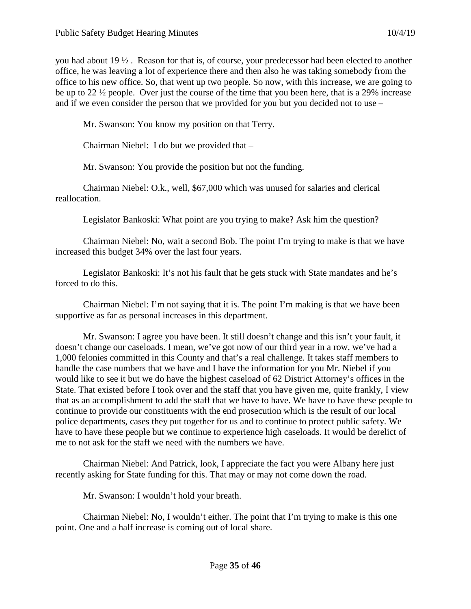you had about 19 ½ . Reason for that is, of course, your predecessor had been elected to another office, he was leaving a lot of experience there and then also he was taking somebody from the office to his new office. So, that went up two people. So now, with this increase, we are going to be up to 22 ½ people. Over just the course of the time that you been here, that is a 29% increase and if we even consider the person that we provided for you but you decided not to use –

Mr. Swanson: You know my position on that Terry.

Chairman Niebel: I do but we provided that –

Mr. Swanson: You provide the position but not the funding.

Chairman Niebel: O.k., well, \$67,000 which was unused for salaries and clerical reallocation.

Legislator Bankoski: What point are you trying to make? Ask him the question?

Chairman Niebel: No, wait a second Bob. The point I'm trying to make is that we have increased this budget 34% over the last four years.

Legislator Bankoski: It's not his fault that he gets stuck with State mandates and he's forced to do this.

Chairman Niebel: I'm not saying that it is. The point I'm making is that we have been supportive as far as personal increases in this department.

Mr. Swanson: I agree you have been. It still doesn't change and this isn't your fault, it doesn't change our caseloads. I mean, we've got now of our third year in a row, we've had a 1,000 felonies committed in this County and that's a real challenge. It takes staff members to handle the case numbers that we have and I have the information for you Mr. Niebel if you would like to see it but we do have the highest caseload of 62 District Attorney's offices in the State. That existed before I took over and the staff that you have given me, quite frankly, I view that as an accomplishment to add the staff that we have to have. We have to have these people to continue to provide our constituents with the end prosecution which is the result of our local police departments, cases they put together for us and to continue to protect public safety. We have to have these people but we continue to experience high caseloads. It would be derelict of me to not ask for the staff we need with the numbers we have.

Chairman Niebel: And Patrick, look, I appreciate the fact you were Albany here just recently asking for State funding for this. That may or may not come down the road.

Mr. Swanson: I wouldn't hold your breath.

Chairman Niebel: No, I wouldn't either. The point that I'm trying to make is this one point. One and a half increase is coming out of local share.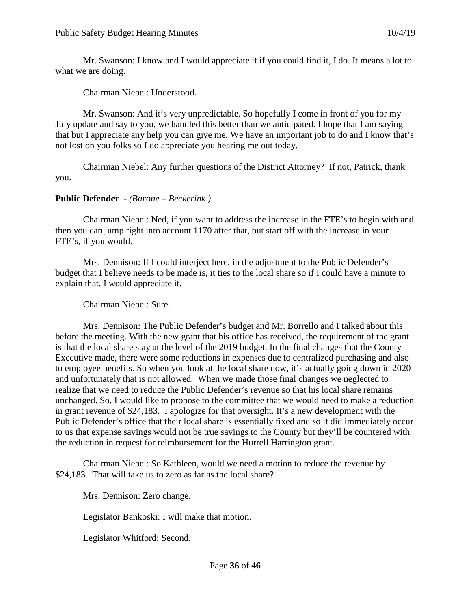Mr. Swanson: I know and I would appreciate it if you could find it, I do. It means a lot to what we are doing.

Chairman Niebel: Understood.

Mr. Swanson: And it's very unpredictable. So hopefully I come in front of you for my July update and say to you, we handled this better than we anticipated. I hope that I am saying that but I appreciate any help you can give me. We have an important job to do and I know that's not lost on you folks so I do appreciate you hearing me out today.

Chairman Niebel: Any further questions of the District Attorney? If not, Patrick, thank you.

# **Public Defender** - *(Barone – Beckerink )*

Chairman Niebel: Ned, if you want to address the increase in the FTE's to begin with and then you can jump right into account 1170 after that, but start off with the increase in your FTE's, if you would.

Mrs. Dennison: If I could interject here, in the adjustment to the Public Defender's budget that I believe needs to be made is, it ties to the local share so if I could have a minute to explain that, I would appreciate it.

Chairman Niebel: Sure.

Mrs. Dennison: The Public Defender's budget and Mr. Borrello and I talked about this before the meeting. With the new grant that his office has received, the requirement of the grant is that the local share stay at the level of the 2019 budget. In the final changes that the County Executive made, there were some reductions in expenses due to centralized purchasing and also to employee benefits. So when you look at the local share now, it's actually going down in 2020 and unfortunately that is not allowed. When we made those final changes we neglected to realize that we need to reduce the Public Defender's revenue so that his local share remains unchanged. So, I would like to propose to the committee that we would need to make a reduction in grant revenue of \$24,183. I apologize for that oversight. It's a new development with the Public Defender's office that their local share is essentially fixed and so it did immediately occur to us that expense savings would not be true savings to the County but they'll be countered with the reduction in request for reimbursement for the Hurrell Harrington grant.

Chairman Niebel: So Kathleen, would we need a motion to reduce the revenue by \$24,183. That will take us to zero as far as the local share?

Mrs. Dennison: Zero change.

Legislator Bankoski: I will make that motion.

Legislator Whitford: Second.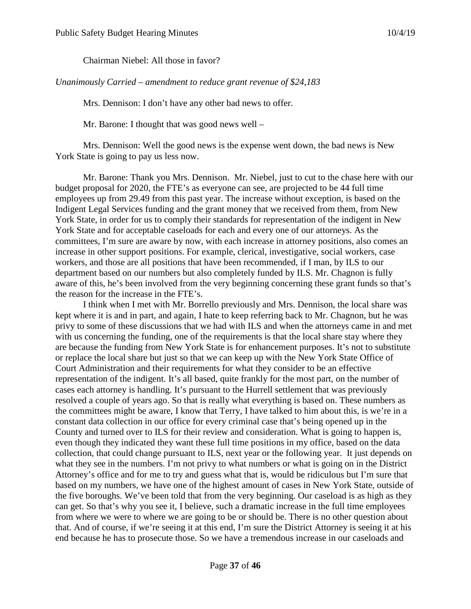Chairman Niebel: All those in favor?

*Unanimously Carried – amendment to reduce grant revenue of \$24,183*

Mrs. Dennison: I don't have any other bad news to offer.

Mr. Barone: I thought that was good news well –

Mrs. Dennison: Well the good news is the expense went down, the bad news is New York State is going to pay us less now.

Mr. Barone: Thank you Mrs. Dennison. Mr. Niebel, just to cut to the chase here with our budget proposal for 2020, the FTE's as everyone can see, are projected to be 44 full time employees up from 29.49 from this past year. The increase without exception, is based on the Indigent Legal Services funding and the grant money that we received from them, from New York State, in order for us to comply their standards for representation of the indigent in New York State and for acceptable caseloads for each and every one of our attorneys. As the committees, I'm sure are aware by now, with each increase in attorney positions, also comes an increase in other support positions. For example, clerical, investigative, social workers, case workers, and those are all positions that have been recommended, if I man, by ILS to our department based on our numbers but also completely funded by ILS. Mr. Chagnon is fully aware of this, he's been involved from the very beginning concerning these grant funds so that's the reason for the increase in the FTE's.

I think when I met with Mr. Borrello previously and Mrs. Dennison, the local share was kept where it is and in part, and again, I hate to keep referring back to Mr. Chagnon, but he was privy to some of these discussions that we had with ILS and when the attorneys came in and met with us concerning the funding, one of the requirements is that the local share stay where they are because the funding from New York State is for enhancement purposes. It's not to substitute or replace the local share but just so that we can keep up with the New York State Office of Court Administration and their requirements for what they consider to be an effective representation of the indigent. It's all based, quite frankly for the most part, on the number of cases each attorney is handling. It's pursuant to the Hurrell settlement that was previously resolved a couple of years ago. So that is really what everything is based on. These numbers as the committees might be aware, I know that Terry, I have talked to him about this, is we're in a constant data collection in our office for every criminal case that's being opened up in the County and turned over to ILS for their review and consideration. What is going to happen is, even though they indicated they want these full time positions in my office, based on the data collection, that could change pursuant to ILS, next year or the following year. It just depends on what they see in the numbers. I'm not privy to what numbers or what is going on in the District Attorney's office and for me to try and guess what that is, would be ridiculous but I'm sure that based on my numbers, we have one of the highest amount of cases in New York State, outside of the five boroughs. We've been told that from the very beginning. Our caseload is as high as they can get. So that's why you see it, I believe, such a dramatic increase in the full time employees from where we were to where we are going to be or should be. There is no other question about that. And of course, if we're seeing it at this end, I'm sure the District Attorney is seeing it at his end because he has to prosecute those. So we have a tremendous increase in our caseloads and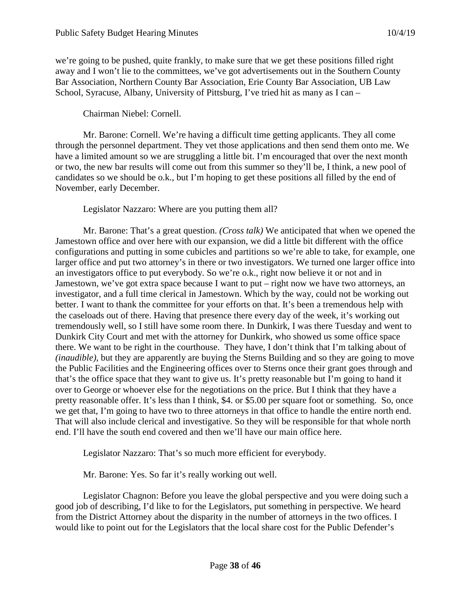we're going to be pushed, quite frankly, to make sure that we get these positions filled right away and I won't lie to the committees, we've got advertisements out in the Southern County Bar Association, Northern County Bar Association, Erie County Bar Association, UB Law School, Syracuse, Albany, University of Pittsburg, I've tried hit as many as I can –

### Chairman Niebel: Cornell.

Mr. Barone: Cornell. We're having a difficult time getting applicants. They all come through the personnel department. They vet those applications and then send them onto me. We have a limited amount so we are struggling a little bit. I'm encouraged that over the next month or two, the new bar results will come out from this summer so they'll be, I think, a new pool of candidates so we should be o.k., but I'm hoping to get these positions all filled by the end of November, early December.

### Legislator Nazzaro: Where are you putting them all?

Mr. Barone: That's a great question. *(Cross talk)* We anticipated that when we opened the Jamestown office and over here with our expansion, we did a little bit different with the office configurations and putting in some cubicles and partitions so we're able to take, for example, one larger office and put two attorney's in there or two investigators. We turned one larger office into an investigators office to put everybody. So we're o.k., right now believe it or not and in Jamestown, we've got extra space because I want to put – right now we have two attorneys, an investigator, and a full time clerical in Jamestown. Which by the way, could not be working out better. I want to thank the committee for your efforts on that. It's been a tremendous help with the caseloads out of there. Having that presence there every day of the week, it's working out tremendously well, so I still have some room there. In Dunkirk, I was there Tuesday and went to Dunkirk City Court and met with the attorney for Dunkirk, who showed us some office space there. We want to be right in the courthouse. They have, I don't think that I'm talking about of *(inaudible)*, but they are apparently are buying the Sterns Building and so they are going to move the Public Facilities and the Engineering offices over to Sterns once their grant goes through and that's the office space that they want to give us. It's pretty reasonable but I'm going to hand it over to George or whoever else for the negotiations on the price. But I think that they have a pretty reasonable offer. It's less than I think, \$4. or \$5.00 per square foot or something. So, once we get that, I'm going to have two to three attorneys in that office to handle the entire north end. That will also include clerical and investigative. So they will be responsible for that whole north end. I'll have the south end covered and then we'll have our main office here.

Legislator Nazzaro: That's so much more efficient for everybody.

Mr. Barone: Yes. So far it's really working out well.

Legislator Chagnon: Before you leave the global perspective and you were doing such a good job of describing, I'd like to for the Legislators, put something in perspective. We heard from the District Attorney about the disparity in the number of attorneys in the two offices. I would like to point out for the Legislators that the local share cost for the Public Defender's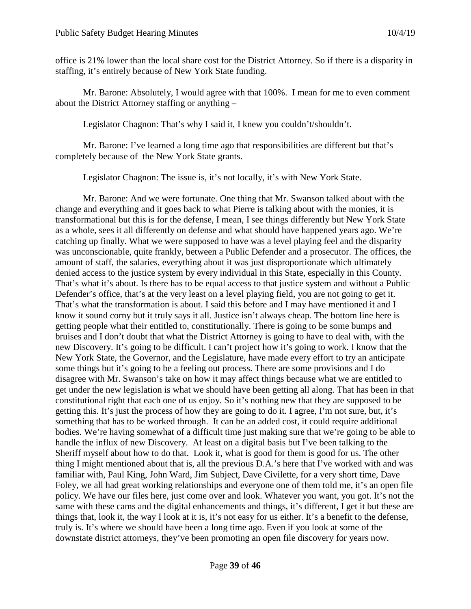office is 21% lower than the local share cost for the District Attorney. So if there is a disparity in staffing, it's entirely because of New York State funding.

Mr. Barone: Absolutely, I would agree with that 100%. I mean for me to even comment about the District Attorney staffing or anything –

Legislator Chagnon: That's why I said it, I knew you couldn't/shouldn't.

Mr. Barone: I've learned a long time ago that responsibilities are different but that's completely because of the New York State grants.

Legislator Chagnon: The issue is, it's not locally, it's with New York State.

Mr. Barone: And we were fortunate. One thing that Mr. Swanson talked about with the change and everything and it goes back to what Pierre is talking about with the monies, it is transformational but this is for the defense, I mean, I see things differently but New York State as a whole, sees it all differently on defense and what should have happened years ago. We're catching up finally. What we were supposed to have was a level playing feel and the disparity was unconscionable, quite frankly, between a Public Defender and a prosecutor. The offices, the amount of staff, the salaries, everything about it was just disproportionate which ultimately denied access to the justice system by every individual in this State, especially in this County. That's what it's about. Is there has to be equal access to that justice system and without a Public Defender's office, that's at the very least on a level playing field, you are not going to get it. That's what the transformation is about. I said this before and I may have mentioned it and I know it sound corny but it truly says it all. Justice isn't always cheap. The bottom line here is getting people what their entitled to, constitutionally. There is going to be some bumps and bruises and I don't doubt that what the District Attorney is going to have to deal with, with the new Discovery. It's going to be difficult. I can't project how it's going to work. I know that the New York State, the Governor, and the Legislature, have made every effort to try an anticipate some things but it's going to be a feeling out process. There are some provisions and I do disagree with Mr. Swanson's take on how it may affect things because what we are entitled to get under the new legislation is what we should have been getting all along. That has been in that constitutional right that each one of us enjoy. So it's nothing new that they are supposed to be getting this. It's just the process of how they are going to do it. I agree, I'm not sure, but, it's something that has to be worked through. It can be an added cost, it could require additional bodies. We're having somewhat of a difficult time just making sure that we're going to be able to handle the influx of new Discovery. At least on a digital basis but I've been talking to the Sheriff myself about how to do that. Look it, what is good for them is good for us. The other thing I might mentioned about that is, all the previous D.A.'s here that I've worked with and was familiar with, Paul King, John Ward, Jim Subject, Dave Civilette, for a very short time, Dave Foley, we all had great working relationships and everyone one of them told me, it's an open file policy. We have our files here, just come over and look. Whatever you want, you got. It's not the same with these cams and the digital enhancements and things, it's different, I get it but these are things that, look it, the way I look at it is, it's not easy for us either. It's a benefit to the defense, truly is. It's where we should have been a long time ago. Even if you look at some of the downstate district attorneys, they've been promoting an open file discovery for years now.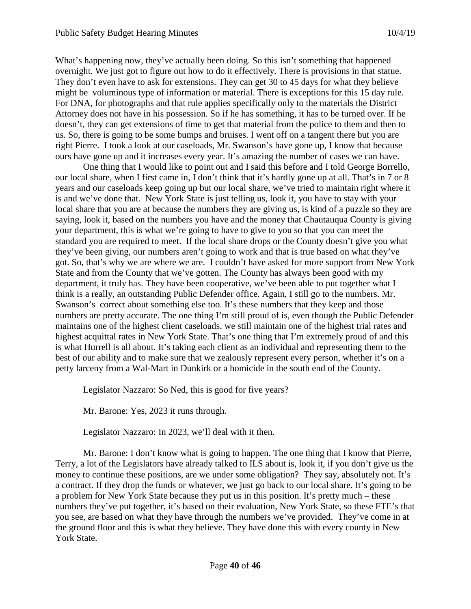What's happening now, they've actually been doing. So this isn't something that happened overnight. We just got to figure out how to do it effectively. There is provisions in that statue. They don't even have to ask for extensions. They can get 30 to 45 days for what they believe might be voluminous type of information or material. There is exceptions for this 15 day rule. For DNA, for photographs and that rule applies specifically only to the materials the District Attorney does not have in his possession. So if he has something, it has to be turned over. If he doesn't, they can get extensions of time to get that material from the police to them and then to us. So, there is going to be some bumps and bruises. I went off on a tangent there but you are right Pierre. I took a look at our caseloads, Mr. Swanson's have gone up, I know that because ours have gone up and it increases every year. It's amazing the number of cases we can have.

One thing that I would like to point out and I said this before and I told George Borrello, our local share, when I first came in, I don't think that it's hardly gone up at all. That's in 7 or 8 years and our caseloads keep going up but our local share, we've tried to maintain right where it is and we've done that. New York State is just telling us, look it, you have to stay with your local share that you are at because the numbers they are giving us, is kind of a puzzle so they are saying, look it, based on the numbers you have and the money that Chautauqua County is giving your department, this is what we're going to have to give to you so that you can meet the standard you are required to meet. If the local share drops or the County doesn't give you what they've been giving, our numbers aren't going to work and that is true based on what they've got. So, that's why we are where we are. I couldn't have asked for more support from New York State and from the County that we've gotten. The County has always been good with my department, it truly has. They have been cooperative, we've been able to put together what I think is a really, an outstanding Public Defender office. Again, I still go to the numbers. Mr. Swanson's correct about something else too. It's these numbers that they keep and those numbers are pretty accurate. The one thing I'm still proud of is, even though the Public Defender maintains one of the highest client caseloads, we still maintain one of the highest trial rates and highest acquittal rates in New York State. That's one thing that I'm extremely proud of and this is what Hurrell is all about. It's taking each client as an individual and representing them to the best of our ability and to make sure that we zealously represent every person, whether it's on a petty larceny from a Wal-Mart in Dunkirk or a homicide in the south end of the County.

Legislator Nazzaro: So Ned, this is good for five years?

Mr. Barone: Yes, 2023 it runs through.

Legislator Nazzaro: In 2023, we'll deal with it then.

Mr. Barone: I don't know what is going to happen. The one thing that I know that Pierre, Terry, a lot of the Legislators have already talked to ILS about is, look it, if you don't give us the money to continue these positions, are we under some obligation? They say, absolutely not. It's a contract. If they drop the funds or whatever, we just go back to our local share. It's going to be a problem for New York State because they put us in this position. It's pretty much – these numbers they've put together, it's based on their evaluation, New York State, so these FTE's that you see, are based on what they have through the numbers we've provided. They've come in at the ground floor and this is what they believe. They have done this with every county in New York State.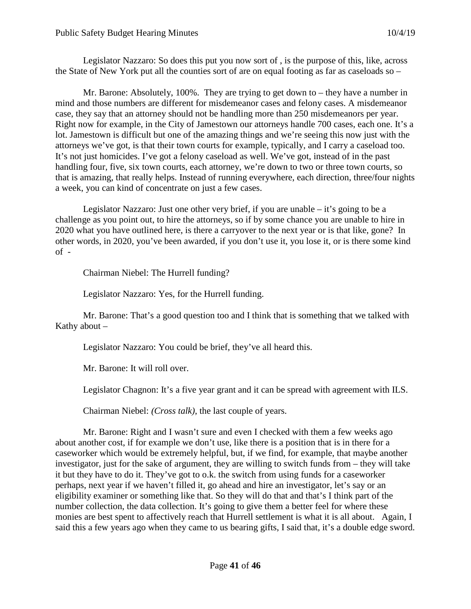Legislator Nazzaro: So does this put you now sort of , is the purpose of this, like, across the State of New York put all the counties sort of are on equal footing as far as caseloads so –

Mr. Barone: Absolutely, 100%. They are trying to get down to – they have a number in mind and those numbers are different for misdemeanor cases and felony cases. A misdemeanor case, they say that an attorney should not be handling more than 250 misdemeanors per year. Right now for example, in the City of Jamestown our attorneys handle 700 cases, each one. It's a lot. Jamestown is difficult but one of the amazing things and we're seeing this now just with the attorneys we've got, is that their town courts for example, typically, and I carry a caseload too. It's not just homicides. I've got a felony caseload as well. We've got, instead of in the past handling four, five, six town courts, each attorney, we're down to two or three town courts, so that is amazing, that really helps. Instead of running everywhere, each direction, three/four nights a week, you can kind of concentrate on just a few cases.

Legislator Nazzaro: Just one other very brief, if you are unable  $-$  it's going to be a challenge as you point out, to hire the attorneys, so if by some chance you are unable to hire in 2020 what you have outlined here, is there a carryover to the next year or is that like, gone? In other words, in 2020, you've been awarded, if you don't use it, you lose it, or is there some kind of -

Chairman Niebel: The Hurrell funding?

Legislator Nazzaro: Yes, for the Hurrell funding.

Mr. Barone: That's a good question too and I think that is something that we talked with Kathy about –

Legislator Nazzaro: You could be brief, they've all heard this.

Mr. Barone: It will roll over.

Legislator Chagnon: It's a five year grant and it can be spread with agreement with ILS.

Chairman Niebel: *(Cross talk)*, the last couple of years.

Mr. Barone: Right and I wasn't sure and even I checked with them a few weeks ago about another cost, if for example we don't use, like there is a position that is in there for a caseworker which would be extremely helpful, but, if we find, for example, that maybe another investigator, just for the sake of argument, they are willing to switch funds from – they will take it but they have to do it. They've got to o.k. the switch from using funds for a caseworker perhaps, next year if we haven't filled it, go ahead and hire an investigator, let's say or an eligibility examiner or something like that. So they will do that and that's I think part of the number collection, the data collection. It's going to give them a better feel for where these monies are best spent to affectively reach that Hurrell settlement is what it is all about. Again, I said this a few years ago when they came to us bearing gifts, I said that, it's a double edge sword.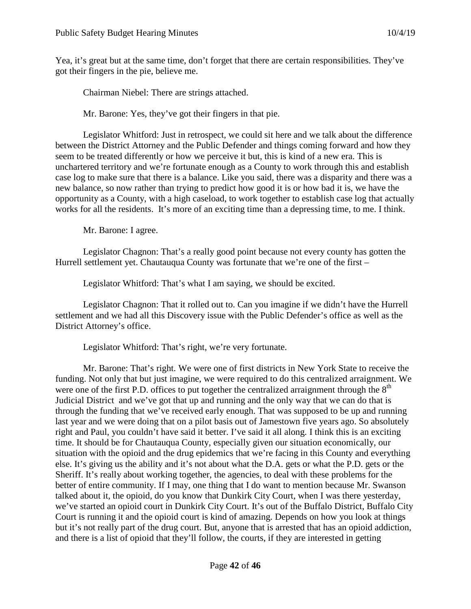Yea, it's great but at the same time, don't forget that there are certain responsibilities. They've got their fingers in the pie, believe me.

Chairman Niebel: There are strings attached.

Mr. Barone: Yes, they've got their fingers in that pie.

Legislator Whitford: Just in retrospect, we could sit here and we talk about the difference between the District Attorney and the Public Defender and things coming forward and how they seem to be treated differently or how we perceive it but, this is kind of a new era. This is unchartered territory and we're fortunate enough as a County to work through this and establish case log to make sure that there is a balance. Like you said, there was a disparity and there was a new balance, so now rather than trying to predict how good it is or how bad it is, we have the opportunity as a County, with a high caseload, to work together to establish case log that actually works for all the residents. It's more of an exciting time than a depressing time, to me. I think.

Mr. Barone: I agree.

Legislator Chagnon: That's a really good point because not every county has gotten the Hurrell settlement yet. Chautauqua County was fortunate that we're one of the first –

Legislator Whitford: That's what I am saying, we should be excited.

Legislator Chagnon: That it rolled out to. Can you imagine if we didn't have the Hurrell settlement and we had all this Discovery issue with the Public Defender's office as well as the District Attorney's office.

Legislator Whitford: That's right, we're very fortunate.

Mr. Barone: That's right. We were one of first districts in New York State to receive the funding. Not only that but just imagine, we were required to do this centralized arraignment. We were one of the first P.D. offices to put together the centralized arraignment through the  $8<sup>th</sup>$ Judicial District and we've got that up and running and the only way that we can do that is through the funding that we've received early enough. That was supposed to be up and running last year and we were doing that on a pilot basis out of Jamestown five years ago. So absolutely right and Paul, you couldn't have said it better. I've said it all along. I think this is an exciting time. It should be for Chautauqua County, especially given our situation economically, our situation with the opioid and the drug epidemics that we're facing in this County and everything else. It's giving us the ability and it's not about what the D.A. gets or what the P.D. gets or the Sheriff. It's really about working together, the agencies, to deal with these problems for the better of entire community. If I may, one thing that I do want to mention because Mr. Swanson talked about it, the opioid, do you know that Dunkirk City Court, when I was there yesterday, we've started an opioid court in Dunkirk City Court. It's out of the Buffalo District, Buffalo City Court is running it and the opioid court is kind of amazing. Depends on how you look at things but it's not really part of the drug court. But, anyone that is arrested that has an opioid addiction, and there is a list of opioid that they'll follow, the courts, if they are interested in getting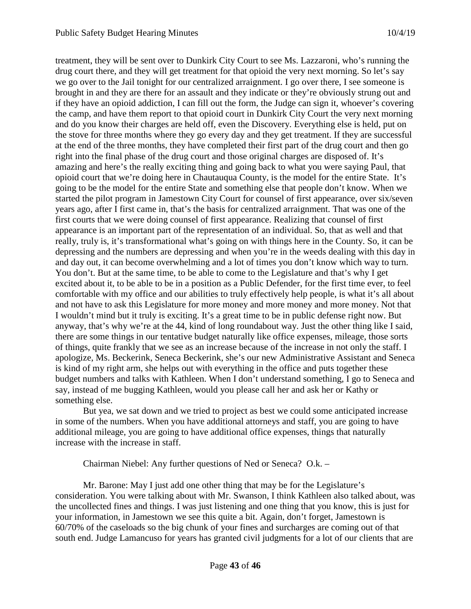treatment, they will be sent over to Dunkirk City Court to see Ms. Lazzaroni, who's running the drug court there, and they will get treatment for that opioid the very next morning. So let's say we go over to the Jail tonight for our centralized arraignment. I go over there, I see someone is brought in and they are there for an assault and they indicate or they're obviously strung out and if they have an opioid addiction, I can fill out the form, the Judge can sign it, whoever's covering the camp, and have them report to that opioid court in Dunkirk City Court the very next morning and do you know their charges are held off, even the Discovery. Everything else is held, put on the stove for three months where they go every day and they get treatment. If they are successful at the end of the three months, they have completed their first part of the drug court and then go right into the final phase of the drug court and those original charges are disposed of. It's amazing and here's the really exciting thing and going back to what you were saying Paul, that opioid court that we're doing here in Chautauqua County, is the model for the entire State. It's going to be the model for the entire State and something else that people don't know. When we started the pilot program in Jamestown City Court for counsel of first appearance, over six/seven years ago, after I first came in, that's the basis for centralized arraignment. That was one of the first courts that we were doing counsel of first appearance. Realizing that counsel of first appearance is an important part of the representation of an individual. So, that as well and that really, truly is, it's transformational what's going on with things here in the County. So, it can be depressing and the numbers are depressing and when you're in the weeds dealing with this day in and day out, it can become overwhelming and a lot of times you don't know which way to turn. You don't. But at the same time, to be able to come to the Legislature and that's why I get excited about it, to be able to be in a position as a Public Defender, for the first time ever, to feel comfortable with my office and our abilities to truly effectively help people, is what it's all about and not have to ask this Legislature for more money and more money and more money. Not that I wouldn't mind but it truly is exciting. It's a great time to be in public defense right now. But anyway, that's why we're at the 44, kind of long roundabout way. Just the other thing like I said, there are some things in our tentative budget naturally like office expenses, mileage, those sorts of things, quite frankly that we see as an increase because of the increase in not only the staff. I apologize, Ms. Beckerink, Seneca Beckerink, she's our new Administrative Assistant and Seneca is kind of my right arm, she helps out with everything in the office and puts together these budget numbers and talks with Kathleen. When I don't understand something, I go to Seneca and say, instead of me bugging Kathleen, would you please call her and ask her or Kathy or something else.

But yea, we sat down and we tried to project as best we could some anticipated increase in some of the numbers. When you have additional attorneys and staff, you are going to have additional mileage, you are going to have additional office expenses, things that naturally increase with the increase in staff.

Chairman Niebel: Any further questions of Ned or Seneca? O.k. –

Mr. Barone: May I just add one other thing that may be for the Legislature's consideration. You were talking about with Mr. Swanson, I think Kathleen also talked about, was the uncollected fines and things. I was just listening and one thing that you know, this is just for your information, in Jamestown we see this quite a bit. Again, don't forget, Jamestown is 60/70% of the caseloads so the big chunk of your fines and surcharges are coming out of that south end. Judge Lamancuso for years has granted civil judgments for a lot of our clients that are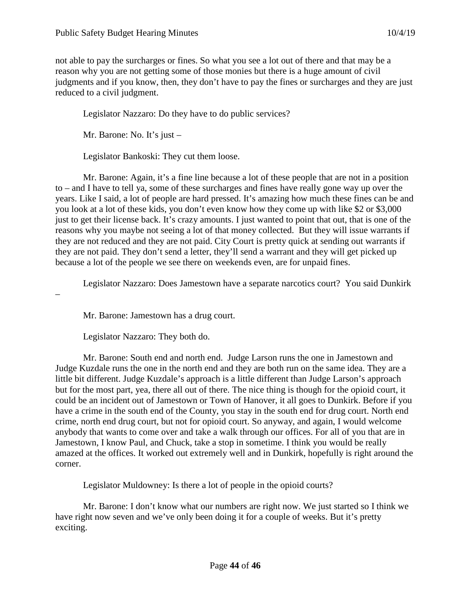not able to pay the surcharges or fines. So what you see a lot out of there and that may be a reason why you are not getting some of those monies but there is a huge amount of civil judgments and if you know, then, they don't have to pay the fines or surcharges and they are just reduced to a civil judgment.

Legislator Nazzaro: Do they have to do public services?

Mr. Barone: No. It's just –

Legislator Bankoski: They cut them loose.

Mr. Barone: Again, it's a fine line because a lot of these people that are not in a position to – and I have to tell ya, some of these surcharges and fines have really gone way up over the years. Like I said, a lot of people are hard pressed. It's amazing how much these fines can be and you look at a lot of these kids, you don't even know how they come up with like \$2 or \$3,000 just to get their license back. It's crazy amounts. I just wanted to point that out, that is one of the reasons why you maybe not seeing a lot of that money collected. But they will issue warrants if they are not reduced and they are not paid. City Court is pretty quick at sending out warrants if they are not paid. They don't send a letter, they'll send a warrant and they will get picked up because a lot of the people we see there on weekends even, are for unpaid fines.

Legislator Nazzaro: Does Jamestown have a separate narcotics court? You said Dunkirk

–

Mr. Barone: Jamestown has a drug court.

Legislator Nazzaro: They both do.

Mr. Barone: South end and north end. Judge Larson runs the one in Jamestown and Judge Kuzdale runs the one in the north end and they are both run on the same idea. They are a little bit different. Judge Kuzdale's approach is a little different than Judge Larson's approach but for the most part, yea, there all out of there. The nice thing is though for the opioid court, it could be an incident out of Jamestown or Town of Hanover, it all goes to Dunkirk. Before if you have a crime in the south end of the County, you stay in the south end for drug court. North end crime, north end drug court, but not for opioid court. So anyway, and again, I would welcome anybody that wants to come over and take a walk through our offices. For all of you that are in Jamestown, I know Paul, and Chuck, take a stop in sometime. I think you would be really amazed at the offices. It worked out extremely well and in Dunkirk, hopefully is right around the corner.

Legislator Muldowney: Is there a lot of people in the opioid courts?

Mr. Barone: I don't know what our numbers are right now. We just started so I think we have right now seven and we've only been doing it for a couple of weeks. But it's pretty exciting.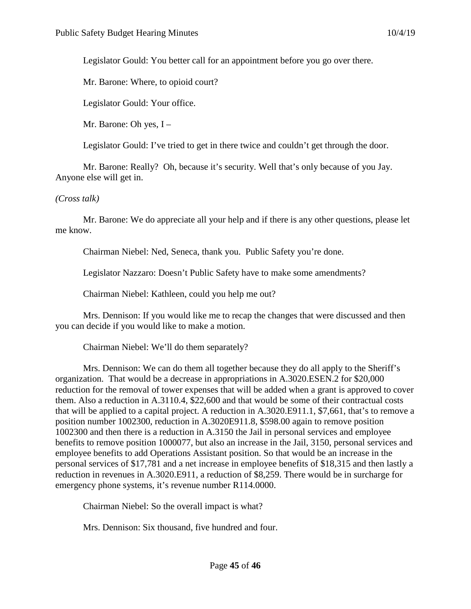Legislator Gould: You better call for an appointment before you go over there.

Mr. Barone: Where, to opioid court?

Legislator Gould: Your office.

Mr. Barone: Oh yes, I –

Legislator Gould: I've tried to get in there twice and couldn't get through the door.

Mr. Barone: Really? Oh, because it's security. Well that's only because of you Jay. Anyone else will get in.

*(Cross talk)*

Mr. Barone: We do appreciate all your help and if there is any other questions, please let me know.

Chairman Niebel: Ned, Seneca, thank you. Public Safety you're done.

Legislator Nazzaro: Doesn't Public Safety have to make some amendments?

Chairman Niebel: Kathleen, could you help me out?

Mrs. Dennison: If you would like me to recap the changes that were discussed and then you can decide if you would like to make a motion.

Chairman Niebel: We'll do them separately?

Mrs. Dennison: We can do them all together because they do all apply to the Sheriff's organization. That would be a decrease in appropriations in A.3020.ESEN.2 for \$20,000 reduction for the removal of tower expenses that will be added when a grant is approved to cover them. Also a reduction in A.3110.4, \$22,600 and that would be some of their contractual costs that will be applied to a capital project. A reduction in A.3020.E911.1, \$7,661, that's to remove a position number 1002300, reduction in A.3020E911.8, \$598.00 again to remove position 1002300 and then there is a reduction in A.3150 the Jail in personal services and employee benefits to remove position 1000077, but also an increase in the Jail, 3150, personal services and employee benefits to add Operations Assistant position. So that would be an increase in the personal services of \$17,781 and a net increase in employee benefits of \$18,315 and then lastly a reduction in revenues in A.3020.E911, a reduction of \$8,259. There would be in surcharge for emergency phone systems, it's revenue number R114.0000.

Chairman Niebel: So the overall impact is what?

Mrs. Dennison: Six thousand, five hundred and four.